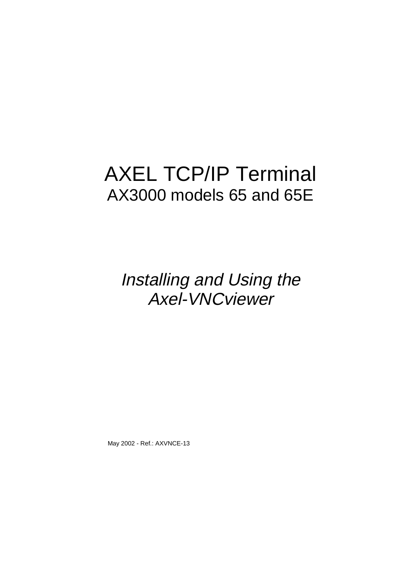# AXEL TCP/IP Terminal AX3000 models 65 and 65E

Installing and Using the Axel-VNCviewer

May 2002 - Ref.: AXVNCE-13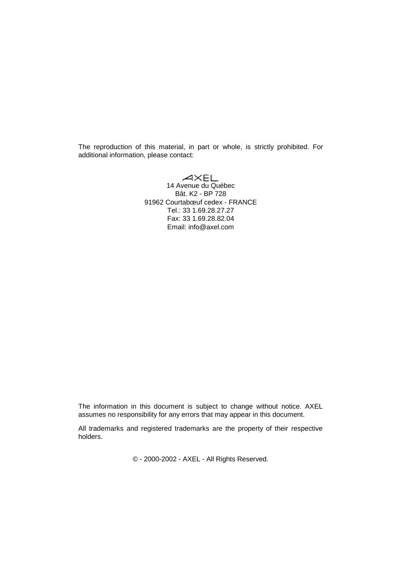The reproduction of this material, in part or whole, is strictly prohibited. For additional information, please contact:

> AXEL<br>14 Avenue du Québec Bât. K2 - BP 728 91962 Courtabœuf cedex - FRANCE Tel.: 33 1.69.28.27.27 Fax: 33 1.69.28.82.04 Email: info@axel.com

The information in this document is subject to change without notice. AXEL assumes no responsibility for any errors that may appear in this document.

All trademarks and registered trademarks are the property of their respective holders.

© - 2000-2002 - AXEL - All Rights Reserved.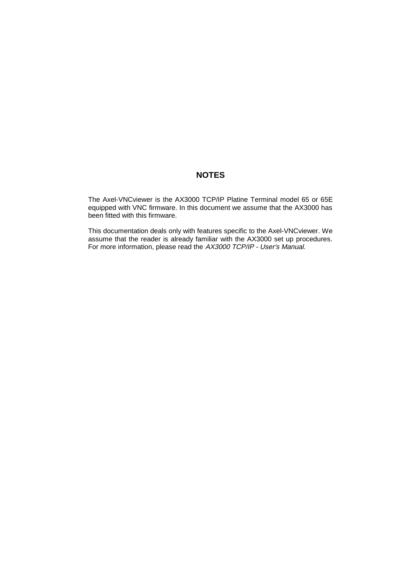## **NOTES**

The Axel-VNCviewer is the AX3000 TCP/IP Platine Terminal model 65 or 65E equipped with VNC firmware. In this document we assume that the AX3000 has been fitted with this firmware.

This documentation deals only with features specific to the Axel-VNCviewer. We assume that the reader is already familiar with the AX3000 set up procedures. For more information, please read the AX3000 TCP/IP - User's Manual.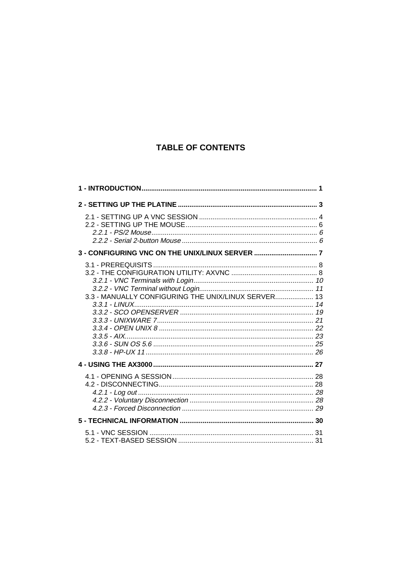# **TABLE OF CONTENTS**

|                                                     | 1 |
|-----------------------------------------------------|---|
|                                                     |   |
|                                                     |   |
|                                                     |   |
| 3.3 - MANUALLY CONFIGURING THE UNIX/LINUX SERVER 13 |   |
|                                                     |   |
|                                                     |   |
|                                                     |   |
|                                                     |   |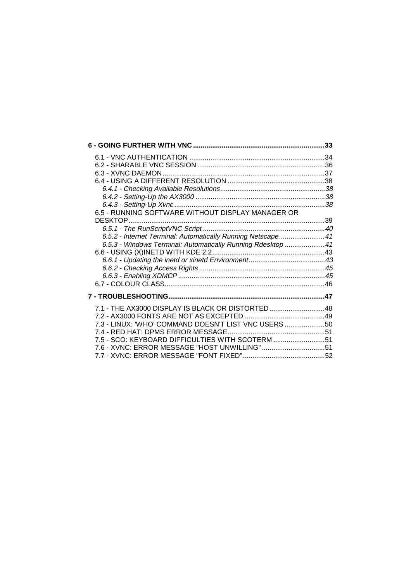|                                                             | .33 |
|-------------------------------------------------------------|-----|
|                                                             |     |
|                                                             |     |
|                                                             |     |
|                                                             |     |
|                                                             |     |
|                                                             |     |
|                                                             |     |
| 6.5 - RUNNING SOFTWARE WITHOUT DISPLAY MANAGER OR           |     |
|                                                             |     |
|                                                             |     |
| 6.5.2 - Internet Terminal: Automatically Running Netscape41 |     |
| 6.5.3 - Windows Terminal: Automatically Running Rdesktop 41 |     |
|                                                             |     |
|                                                             |     |
|                                                             |     |
|                                                             |     |
|                                                             |     |
|                                                             |     |
| 7.1 - THE AX3000 DISPLAY IS BLACK OR DISTORTED 48           |     |
|                                                             |     |
| 7.3 - LINUX: 'WHO' COMMAND DOESN'T LIST VNC USERS 50        |     |
|                                                             |     |
| 7.5 - SCO: KEYBOARD DIFFICULTIES WITH SCOTERM 51            |     |
| 7.6 - XVNC: ERROR MESSAGE "HOST UNWILLING"51                |     |
|                                                             |     |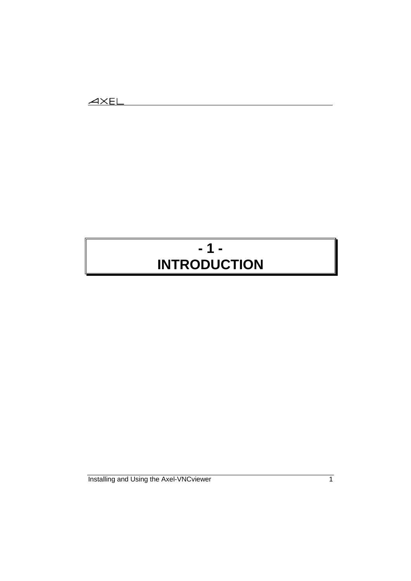# **- 1 - INTRODUCTION**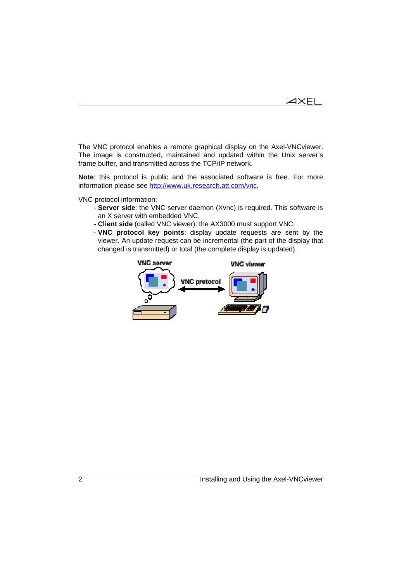$4\times$ el

The VNC protocol enables a remote graphical display on the Axel-VNCviewer. The image is constructed, maintained and updated within the Unix server's frame buffer, and transmitted across the TCP/IP network.

**Note**: this protocol is public and the associated software is free. For more information please see http://www.uk.research.att.com/vnc.

VNC protocol information:

- **Server side**: the VNC server daemon (Xvnc) is required. This software is an X server with embedded VNC.
- **Client side** (called VNC viewer): the AX3000 must support VNC.
- **VNC protocol key points**: display update requests are sent by the viewer. An update request can be incremental (the part of the display that changed is transmitted) or total (the complete display is updated).

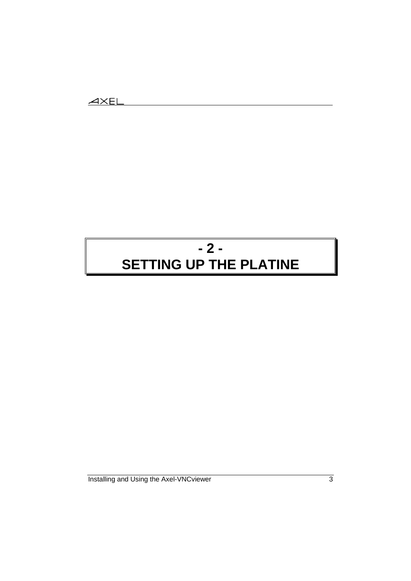# **- 2 - SETTING UP THE PLATINE**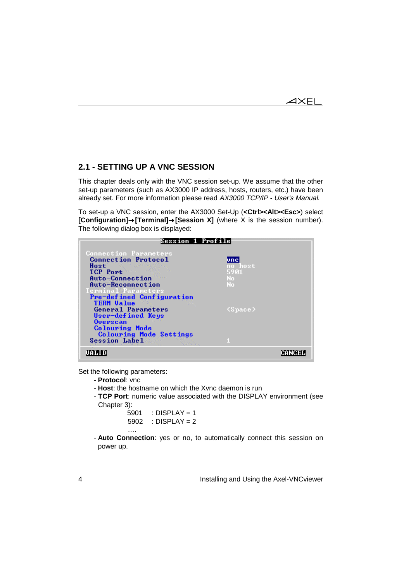## **2.1 - SETTING UP A VNC SESSION**

This chapter deals only with the VNC session set-up. We assume that the other set-up parameters (such as AX3000 IP address, hosts, routers, etc.) have been already set. For more information please read AX3000 TCP/IP - User's Manual.

To set-up a VNC session, enter the AX3000 Set-Up (**<Ctrl><Alt><Esc>**) select **[Configuration]**→**[Terminal]**→**[Session X]** (where X is the session number). The following dialog box is displayed:

| Session 1 Profile                                       |                                |  |
|---------------------------------------------------------|--------------------------------|--|
| <b>Connection Parameters</b>                            |                                |  |
| <b>Connection Protocol</b>                              | <u>unci</u>                    |  |
| Host<br>TCP Port                                        | no host<br>5901                |  |
| Auto-Connection                                         | No.                            |  |
| Auto-Reconnection                                       | No                             |  |
| Terminal Parameters                                     |                                |  |
| Pre-defined Configuration<br><b>TERM Value</b>          |                                |  |
| <b>General Parameters</b>                               | $\langle\texttt{Space}\rangle$ |  |
| User-defined Keys                                       |                                |  |
| <b>Overscan</b>                                         |                                |  |
| <b>Colouring Mode</b><br><b>Colouring Mode Settings</b> |                                |  |
| <b>Session Label</b>                                    |                                |  |
|                                                         |                                |  |

Set the following parameters:

….

- **Protocol**: vnc

- **Host**: the hostname on which the Xvnc daemon is run

- **TCP Port**: numeric value associated with the DISPLAY environment (see Chapter 3):

| 5901 | : DISPLAY = 1 |
|------|---------------|
| 5902 | : DISPLAY = 2 |

- **Auto Connection**: yes or no, to automatically connect this session on power up.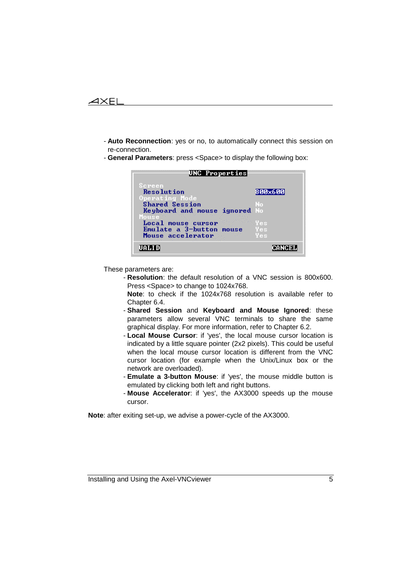

- **Auto Reconnection**: yes or no, to automatically connect this session on re-connection.
- **General Parameters**: press <Space> to display the following box:

| UNC Properties                                                                                                                                                                          |  |                                    |
|-----------------------------------------------------------------------------------------------------------------------------------------------------------------------------------------|--|------------------------------------|
| Screen<br><b>Resolution</b><br>Operating Mode<br><b>Shared Session</b><br>Keyboard and mouse ignored No<br>Mouse<br>Local mouse cursor<br>Emulate a 3-button mouse<br>Mouse accelerator |  | 800x600<br>No<br>Yes<br>Yes<br>Yes |
| UALID                                                                                                                                                                                   |  | CANCEI                             |

These parameters are:

- **Resolution**: the default resolution of a VNC session is 800x600. Press <Space> to change to 1024x768.

**Note**: to check if the 1024x768 resolution is available refer to Chapter 6.4.

- **Shared Session** and **Keyboard and Mouse Ignored**: these parameters allow several VNC terminals to share the same graphical display. For more information, refer to Chapter 6.2.
- **Local Mouse Cursor**: if 'yes', the local mouse cursor location is indicated by a little square pointer (2x2 pixels). This could be useful when the local mouse cursor location is different from the VNC cursor location (for example when the Unix/Linux box or the network are overloaded).
- **Emulate a 3-button Mouse**: if 'yes', the mouse middle button is emulated by clicking both left and right buttons.
- **Mouse Accelerator**: if 'yes', the AX3000 speeds up the mouse cursor.

**Note**: after exiting set-up, we advise a power-cycle of the AX3000.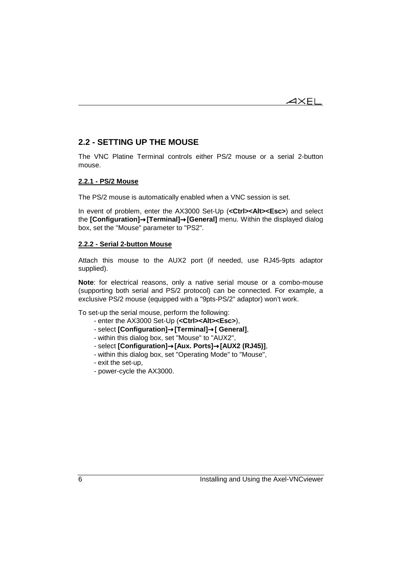

## **2.2 - SETTING UP THE MOUSE**

The VNC Platine Terminal controls either PS/2 mouse or a serial 2-button mouse.

### **2.2.1 - PS/2 Mouse**

The PS/2 mouse is automatically enabled when a VNC session is set.

In event of problem, enter the AX3000 Set-Up (**<Ctrl><Alt><Esc>**) and select the **[Configuration]**→**[Terminal]**→**[General]** menu. Within the displayed dialog box, set the "Mouse" parameter to "PS2".

### **2.2.2 - Serial 2-button Mouse**

Attach this mouse to the AUX2 port (if needed, use RJ45-9pts adaptor supplied).

**Note**: for electrical reasons, only a native serial mouse or a combo-mouse (supporting both serial and PS/2 protocol) can be connected. For example, a exclusive PS/2 mouse (equipped with a "9pts-PS/2" adaptor) won't work.

To set-up the serial mouse, perform the following:

- enter the AX3000 Set-Up (**<Ctrl><Alt><Esc>**),
- select **[Configuration]**→**[Terminal]**→**[ General]**,
- within this dialog box, set "Mouse" to "AUX2",
- select **[Configuration]**→**[Aux. Ports]**→**[AUX2 (RJ45)]**,
- within this dialog box, set "Operating Mode" to "Mouse",
- exit the set-up,
- power-cycle the AX3000.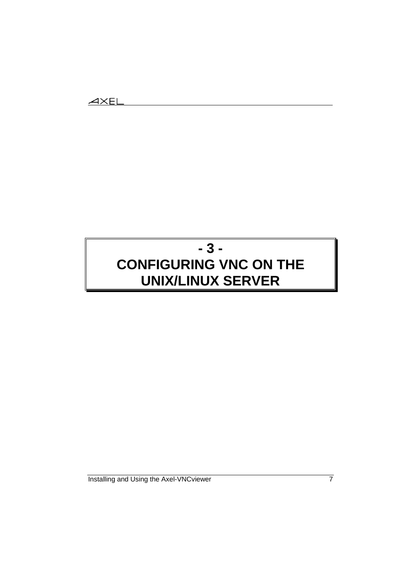# **- 3 - CONFIGURING VNC ON THE UNIX/LINUX SERVER**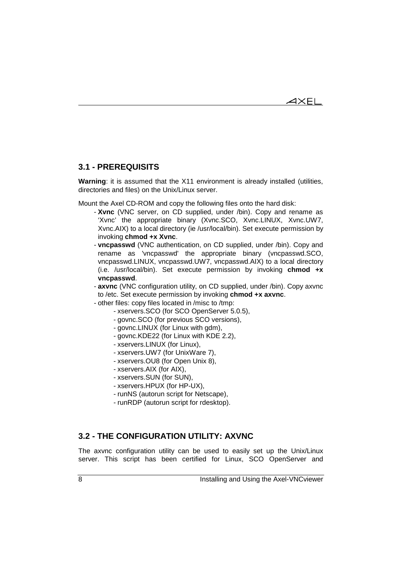$\overline{\mathsf{4}\mathsf{XEL}}$ 

## **3.1 - PREREQUISITS**

**Warning:** it is assumed that the X11 environment is already installed (utilities, directories and files) on the Unix/Linux server.

Mount the Axel CD-ROM and copy the following files onto the hard disk:

- **Xvnc** (VNC server, on CD supplied, under /bin). Copy and rename as 'Xvnc' the appropriate binary (Xvnc.SCO, Xvnc.LINUX, Xvnc.UW7, Xvnc.AIX) to a local directory (ie /usr/local/bin). Set execute permission by invoking **chmod +x Xvnc**.
- **vncpasswd** (VNC authentication, on CD supplied, under /bin). Copy and rename as 'vncpasswd' the appropriate binary (vncpasswd.SCO, vncpasswd.LINUX, vncpasswd.UW7, vncpasswd.AIX) to a local directory (i.e. /usr/local/bin). Set execute permission by invoking **chmod +x vncpasswd**.
- **axvnc** (VNC configuration utility, on CD supplied, under /bin). Copy axvnc to /etc. Set execute permission by invoking **chmod +x axvnc**.
- other files: copy files located in /misc to /tmp:
	- xservers.SCO (for SCO OpenServer 5.0.5),
	- govnc.SCO (for previous SCO versions),
	- govnc.LINUX (for Linux with gdm),
	- govnc.KDE22 (for Linux with KDE 2.2),
	- xservers.LINUX (for Linux),
	- xservers.UW7 (for UnixWare 7),
	- xservers.OU8 (for Open Unix 8),
	- xservers.AIX (for AIX),
	- xservers.SUN (for SUN),
	- xservers.HPUX (for HP-UX),
	- runNS (autorun script for Netscape),
	- runRDP (autorun script for rdesktop).

## **3.2 - THE CONFIGURATION UTILITY: AXVNC**

The axvnc configuration utility can be used to easily set up the Unix/Linux server. This script has been certified for Linux, SCO OpenServer and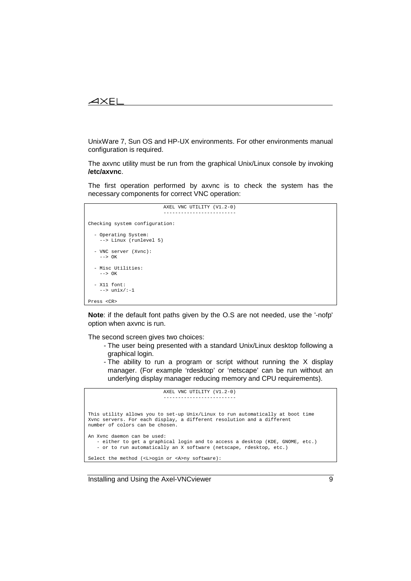### $\boldsymbol{\mathsf{X}\mathsf{H}}$

UnixWare 7, Sun OS and HP-UX environments. For other environments manual configuration is required.

The axvnc utility must be run from the graphical Unix/Linux console by invoking **/etc/axvnc**.

The first operation performed by axvnc is to check the system has the necessary components for correct VNC operation:

```
 AXEL VNC UTILITY (V1.2-0)
 -------------------------
Checking system configuration:
  - Operating System:
     --> Linux (runlevel 5)
  - VNC server (Xvnc):
    \rightarrow OK
  - Misc Utilities:
    --> OK
   - X11 font:
     --> unix/:-1
Press <CR>
```
**Note**: if the default font paths given by the O.S are not needed, use the '-nofp' option when axvnc is run.

The second screen gives two choices:

- The user being presented with a standard Unix/Linux desktop following a graphical login.
- The ability to run a program or script without running the X display manager. (For example 'rdesktop' or 'netscape' can be run without an underlying display manager reducing memory and CPU requirements).

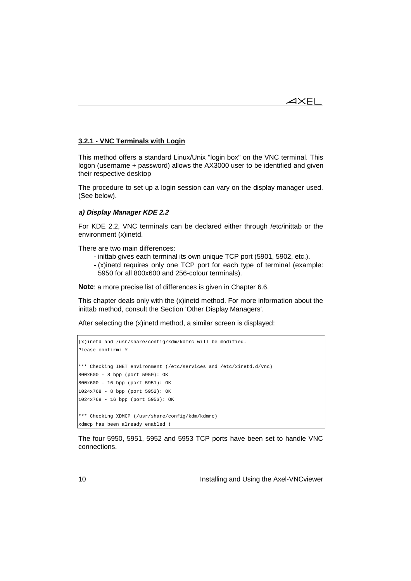

### **3.2.1 - VNC Terminals with Login**

This method offers a standard Linux/Unix "login box" on the VNC terminal. This logon (username + password) allows the AX3000 user to be identified and given their respective desktop

The procedure to set up a login session can vary on the display manager used. (See below).

### **a) Display Manager KDE 2.2**

For KDE 2.2, VNC terminals can be declared either through /etc/inittab or the environment (x)inetd.

There are two main differences:

- inittab gives each terminal its own unique TCP port (5901, 5902, etc.).
- (x)inetd requires only one TCP port for each type of terminal (example: 5950 for all 800x600 and 256-colour terminals).

**Note**: a more precise list of differences is given in Chapter 6.6.

This chapter deals only with the (x)inetd method. For more information about the inittab method, consult the Section 'Other Display Managers'.

After selecting the (x)inetd method, a similar screen is displayed:

```
(x)inetd and /usr/share/config/kdm/kdmrc will be modified.
Please confirm: Y
*** Checking INET environment (/etc/services and /etc/xinetd.d/vnc)
800x600 - 8 bpp (port 5950): OK
800x600 - 16 bpp (port 5951): OK
1024x768 - 8 bpp (port 5952): OK
1024x768 - 16 bpp (port 5953): OK
*** Checking XDMCP (/usr/share/config/kdm/kdmrc)
xdmcp has been already enabled !
```
The four 5950, 5951, 5952 and 5953 TCP ports have been set to handle VNC connections.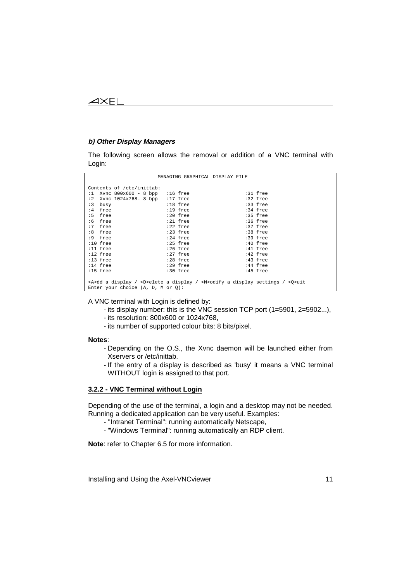### **b) Other Display Managers**

The following screen allows the removal or addition of a VNC terminal with Login:

|                                                                                                | MANAGING GRAPHICAL DISPLAY FILE |            |  |
|------------------------------------------------------------------------------------------------|---------------------------------|------------|--|
| Contents of /etc/inittab:                                                                      |                                 |            |  |
| $:1$ Xvnc 800x600 - 8 bpp $:16$ free                                                           |                                 | :31 free   |  |
| :2 Xvnc $1024x768 - 8$ bpp :17 free                                                            |                                 | :32 free   |  |
| :3<br>busy                                                                                     | :18 free                        | :33 free   |  |
| :4 free                                                                                        | :19 free                        | :34 free   |  |
| :5 free                                                                                        | :20 free                        | :35 free   |  |
| :6 free                                                                                        | :21 free                        | :36 free   |  |
| :7 free                                                                                        | $:22$ free                      | $:37$ free |  |
| :8 free                                                                                        | :23 free                        | :38 free   |  |
| :9 free                                                                                        | :24 free                        | :39 free   |  |
| $:10$ free                                                                                     | :25 free                        | :40 free   |  |
| $:11$ free                                                                                     | :26 free                        | :41 free   |  |
| :12 free                                                                                       | :27 free                        | :42 free   |  |
| :13 free                                                                                       | :28 free                        | :43 free   |  |
| :14 free                                                                                       | :29 free                        | :44 free   |  |
| :15 free                                                                                       | :30 free                        | :45 free   |  |
|                                                                                                |                                 |            |  |
| $\alpha$ >dd a display / <d>elete a display / <m>odify a display settings / <q>uit</q></m></d> |                                 |            |  |
| Enter your choice $(A, D, M or 0)$ :                                                           |                                 |            |  |

A VNC terminal with Login is defined by:

- its display number: this is the VNC session TCP port (1=5901, 2=5902...),
- its resolution: 800x600 or 1024x768,
- its number of supported colour bits: 8 bits/pixel.

### **Notes**:

- Depending on the O.S., the Xvnc daemon will be launched either from Xservers or /etc/inittab.
- If the entry of a display is described as 'busy' it means a VNC terminal WITHOUT login is assigned to that port.

## **3.2.2 - VNC Terminal without Login**

Depending of the use of the terminal, a login and a desktop may not be needed. Running a dedicated application can be very useful. Examples:

- "Intranet Terminal": running automatically Netscape,
- "Windows Terminal": running automatically an RDP client.

**Note**: refer to Chapter 6.5 for more information.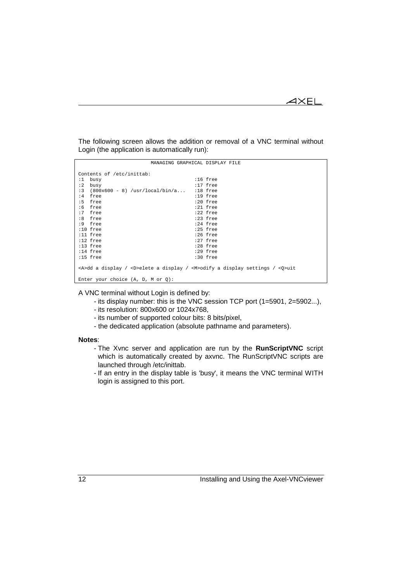$\mathrel{{\mathsf{X}\mathsf{E}\mathsf{L}}}$ 

The following screen allows the addition or removal of a VNC terminal without Login (the application is automatically run):

|    |                                                                                                            | MANAGING GRAPHICAL DISPLAY FILE |            |  |
|----|------------------------------------------------------------------------------------------------------------|---------------------------------|------------|--|
|    | Contents of /etc/inittab:                                                                                  |                                 |            |  |
|    | $:1$ busy                                                                                                  |                                 | $:16$ free |  |
| :2 | busy                                                                                                       |                                 | $:17$ free |  |
|    | $:3$ (800x600 - 8) /usr/local/bin/a                                                                        |                                 | :18 free   |  |
|    | :4 free                                                                                                    |                                 | $:19$ free |  |
|    | :5 free                                                                                                    |                                 | :20 free   |  |
|    | $:6$ free                                                                                                  |                                 | :21 free   |  |
|    | :7 free                                                                                                    |                                 | $:22$ free |  |
|    | :8 free                                                                                                    |                                 | :23 free   |  |
|    | :9 free                                                                                                    |                                 | :24 free   |  |
|    | $:10$ free                                                                                                 |                                 | :25 free   |  |
|    | $:11$ free                                                                                                 |                                 | $:26$ free |  |
|    | :12 free                                                                                                   |                                 | :27 free   |  |
|    | :13 free                                                                                                   |                                 | :28 free   |  |
|    | :14 free                                                                                                   |                                 | :29 free   |  |
|    | $:15$ free                                                                                                 |                                 | :30 free   |  |
|    |                                                                                                            |                                 |            |  |
|    | <a>dd a display / <d>elete a display / <m>&gt;<m>&gt;odify a display settings / <q>uit</q></m></m></d></a> |                                 |            |  |
|    |                                                                                                            |                                 |            |  |
|    | Enter your choice $(A, D, M or 0)$ :                                                                       |                                 |            |  |

A VNC terminal without Login is defined by:

- its display number: this is the VNC session TCP port (1=5901, 2=5902...),
- its resolution: 800x600 or 1024x768,
- its number of supported colour bits: 8 bits/pixel,
- the dedicated application (absolute pathname and parameters).

### **Notes**:

- The Xvnc server and application are run by the **RunScriptVNC** script which is automatically created by axvnc. The RunScriptVNC scripts are launched through /etc/inittab.
- If an entry in the display table is 'busy', it means the VNC terminal WITH login is assigned to this port.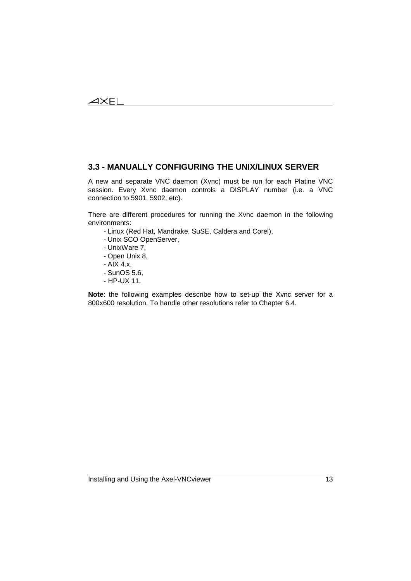## **3.3 - MANUALLY CONFIGURING THE UNIX/LINUX SERVER**

A new and separate VNC daemon (Xvnc) must be run for each Platine VNC session. Every Xvnc daemon controls a DISPLAY number (i.e. a VNC connection to 5901, 5902, etc).

There are different procedures for running the Xvnc daemon in the following environments:

- Linux (Red Hat, Mandrake, SuSE, Caldera and Corel),

- Unix SCO OpenServer,
- UnixWare 7,
- Open Unix 8,
- AIX 4.x,
- SunOS 5.6,
- HP-UX 11.

**Note**: the following examples describe how to set-up the Xvnc server for a 800x600 resolution. To handle other resolutions refer to Chapter 6.4.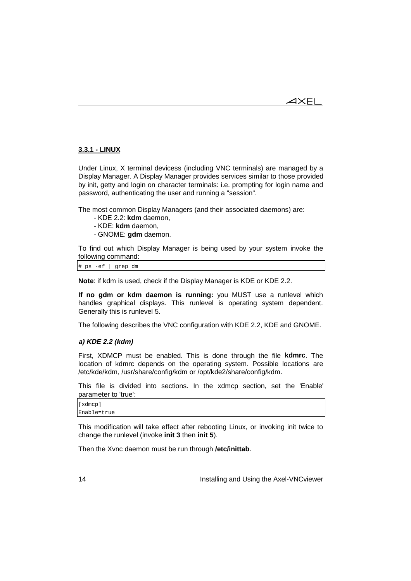## **3.3.1 - LINUX**

Under Linux, X terminal devicess (including VNC terminals) are managed by a Display Manager. A Display Manager provides services similar to those provided by init, getty and login on character terminals: i.e. prompting for login name and password, authenticating the user and running a "session".

The most common Display Managers (and their associated daemons) are:

- KDE 2.2: **kdm** daemon,
- KDE: **kdm** daemon,
- GNOME: **gdm** daemon.

To find out which Display Manager is being used by your system invoke the following command:

# ps -ef | grep dm

**Note**: if kdm is used, check if the Display Manager is KDE or KDE 2.2.

**If no gdm or kdm daemon is running:** you MUST use a runlevel which handles graphical displays. This runlevel is operating system dependent. Generally this is runlevel 5.

The following describes the VNC configuration with KDE 2.2, KDE and GNOME.

### **a) KDE 2.2 (kdm)**

First, XDMCP must be enabled. This is done through the file **kdmrc**. The location of kdmrc depends on the operating system. Possible locations are /etc/kde/kdm, /usr/share/config/kdm or /opt/kde2/share/config/kdm.

This file is divided into sections. In the xdmcp section, set the 'Enable' parameter to 'true':

| [xdmcp]     |  |  |
|-------------|--|--|
| Enable=true |  |  |

This modification will take effect after rebooting Linux, or invoking init twice to change the runlevel (invoke **init 3** then **init 5**).

Then the Xvnc daemon must be run through **/etc/inittab**.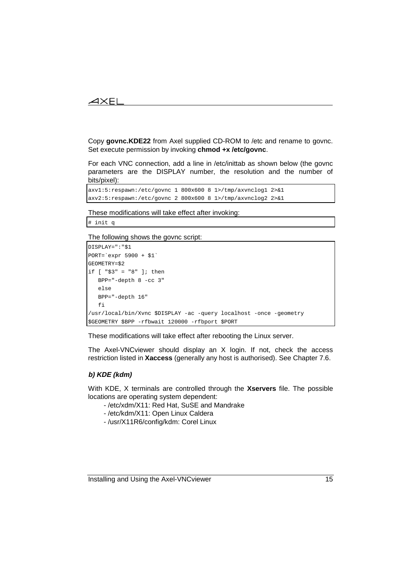## $\boldsymbol{\mathcal{A}}\times \mathsf{EL}$

Copy **govnc.KDE22** from Axel supplied CD-ROM to /etc and rename to govnc. Set execute permission by invoking **chmod +x /etc/govnc**.

For each VNC connection, add a line in /etc/inittab as shown below (the govnc parameters are the DISPLAY number, the resolution and the number of bits/pixel):

```
axv1:5:respawn:/etc/govnc 1 800x600 8 1>/tmp/axvnclog1 2>&1
axv2:5:respawn:/etc/govnc 2 800x600 8 1>/tmp/axvnclog2 2>&1
```
These modifications will take effect after invoking:

# init q

The following shows the govnc script:

```
DISPLAY=":"$1
PORT=`expr 5900 + $1`
GEOMETRY=$2
if [ "$3" = "8" ]; then
   BPP="-depth 8 -cc 3"
   else
   BPP="-depth 16"
   fi
/usr/local/bin/Xvnc $DISPLAY -ac -query localhost -once -geometry
$GEOMETRY $BPP -rfbwait 120000 -rfbport $PORT
```
These modifications will take effect after rebooting the Linux server.

The Axel-VNCviewer should display an X login. If not, check the access restriction listed in **Xaccess** (generally any host is authorised). See Chapter 7.6.

## **b) KDE (kdm)**

With KDE, X terminals are controlled through the **Xservers** file. The possible locations are operating system dependent:

- /etc/xdm/X11: Red Hat, SuSE and Mandrake
- /etc/kdm/X11: Open Linux Caldera
- /usr/X11R6/config/kdm: Corel Linux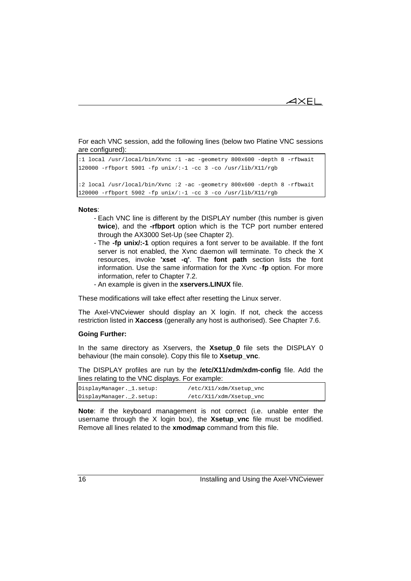$4\times E$ L

For each VNC session, add the following lines (below two Platine VNC sessions are configured):

```
:1 local /usr/local/bin/Xvnc :1 -ac -geometry 800x600 -depth 8 -rfbwait
120000 -rfbport 5901 -fp unix/:-1 -cc 3 -co /usr/lib/X11/rgb
:2 local /usr/local/bin/Xvnc :2 -ac -geometry 800x600 -depth 8 -rfbwait
120000 -rfbport 5902 -fp unix/:-1 -cc 3 -co /usr/lib/X11/rgb
```
#### **Notes**:

- Each VNC line is different by the DISPLAY number (this number is given **twice**), and the **-rfbport** option which is the TCP port number entered through the AX3000 Set-Up (see Chapter 2).
- The **-fp unix/:-1** option requires a font server to be available. If the font server is not enabled, the Xvnc daemon will terminate. To check the X resources, invoke **'xset -q'**. The **font path** section lists the font information. Use the same information for the Xvnc -**fp** option. For more information, refer to Chapter 7.2.
- An example is given in the **xservers.LINUX** file.

These modifications will take effect after resetting the Linux server.

The Axel-VNCviewer should display an X login. If not, check the access restriction listed in **Xaccess** (generally any host is authorised). See Chapter 7.6.

### **Going Further:**

In the same directory as Xservers, the **Xsetup\_0** file sets the DISPLAY 0 behaviour (the main console). Copy this file to **Xsetup\_vnc**.

The DISPLAY profiles are run by the **/etc/X11/xdm/xdm-config** file. Add the lines relating to the VNC displays. For example:

| DisplayManager._1.setup: | /etc/X11/xdm/Xsetup_vnc |
|--------------------------|-------------------------|
| DisplayManager._2.setup: | /etc/X11/xdm/Xsetup_vnc |

**Note**: if the keyboard management is not correct (i.e. unable enter the username through the X login box), the **Xsetup\_vnc** file must be modified. Remove all lines related to the **xmodmap** command from this file.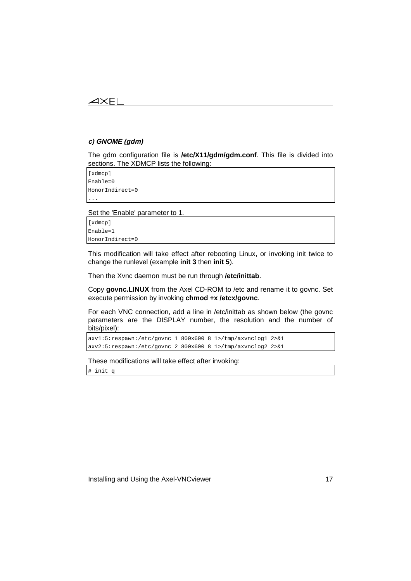## $\angle$

## **c) GNOME (gdm)**

The gdm configuration file is **/etc/X11/gdm/gdm.conf**. This file is divided into sections. The XDMCP lists the following:

[xdmcp] Enable=0 HonorIndirect=0 ...

Set the 'Enable' parameter to 1.

[xdmcp] Enable=1 HonorIndirect=0

This modification will take effect after rebooting Linux, or invoking init twice to change the runlevel (example **init 3** then **init 5**).

Then the Xvnc daemon must be run through **/etc/inittab**.

Copy **govnc.LINUX** from the Axel CD-ROM to /etc and rename it to govnc. Set execute permission by invoking **chmod +x /etcx/govnc**.

For each VNC connection, add a line in /etc/inittab as shown below (the govnc parameters are the DISPLAY number, the resolution and the number of bits/pixel):

axv1:5:respawn:/etc/govnc 1 800x600 8 1>/tmp/axvnclog1 2>&1 axv2:5:respawn:/etc/govnc 2 800x600 8 1>/tmp/axvnclog2 2>&1

These modifications will take effect after invoking:

# init q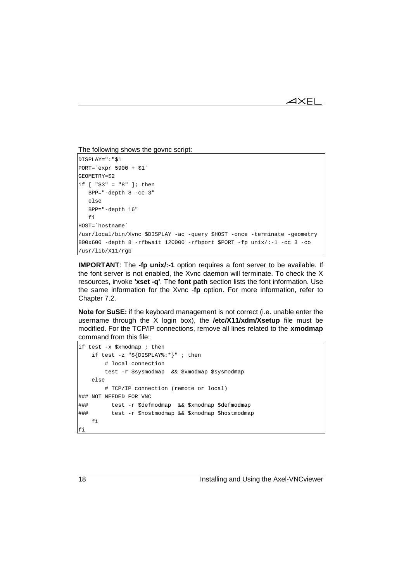The following shows the govnc script:

```
DISPLAY=":"$1
PORT=`expr 5900 + $1`
GEOMETRY=$2
if [ "$3" = "8" ]; then
   BPP="-depth 8 -cc 3"
    else
   BPP="-depth 16"
   fi
HOST=`hostname`
/usr/local/bin/Xvnc $DISPLAY -ac -query $HOST -once -terminate -geometry
800x600 -depth 8 -rfbwait 120000 -rfbport $PORT -fp unix/:-1 -cc 3 -co
/usr/lib/X11/rgb
```
**IMPORTANT**: The **-fp unix/:-1** option requires a font server to be available. If the font server is not enabled, the Xvnc daemon will terminate. To check the X resources, invoke **'xset -q'**. The **font path** section lists the font information. Use the same information for the Xvnc -**fp** option. For more information, refer to Chapter 7.2.

**Note for SuSE:** if the keyboard management is not correct (i.e. unable enter the username through the X login box), the **/etc/X11/xdm/Xsetup** file must be modified. For the TCP/IP connections, remove all lines related to the **xmodmap** command from this file:

```
if test -x $xmodmap ; then
    if test -z "${DISPLAY%:*}" ; then
        # local connection
        test -r $sysmodmap && $xmodmap $sysmodmap
    else
        # TCP/IP connection (remote or local)
### NOT NEEDED FOR VNC
### test -r $defmodmap && $xmodmap $defmodmap
### test -r $hostmodmap && $xmodmap $hostmodmap
    fi
fi
```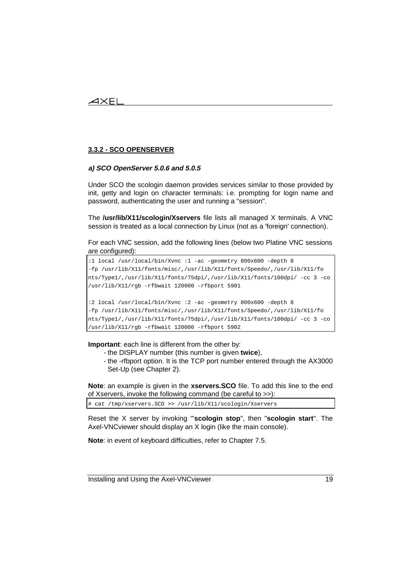## **3.3.2 - SCO OPENSERVER**

### **a) SCO OpenServer 5.0.6 and 5.0.5**

Under SCO the scologin daemon provides services similar to those provided by init, getty and login on character terminals: i.e. prompting for login name and password, authenticating the user and running a "session".

The **/usr/lib/X11/scologin/Xservers** file lists all managed X terminals. A VNC session is treated as a local connection by Linux (not as a 'foreign' connection).

For each VNC session, add the following lines (below two Platine VNC sessions are configured):

```
:1 local /usr/local/bin/Xvnc :1 -ac -geometry 800x600 -depth 8
-fp /usr/lib/X11/fonts/misc/,/usr/lib/X11/fonts/Speedo/,/usr/lib/X11/fo
nts/Type1/,/usr/lib/X11/fonts/75dpi/,/usr/lib/X11/fonts/100dpi/ -cc 3 -co
/usr/lib/X11/rgb -rfbwait 120000 -rfbport 5901
:2 local /usr/local/bin/Xvnc :2 -ac -geometry 800x600 -depth 8
-fp /usr/lib/X11/fonts/misc/,/usr/lib/X11/fonts/Speedo/,/usr/lib/X11/fo
nts/Type1/,/usr/lib/X11/fonts/75dpi/,/usr/lib/X11/fonts/100dpi/ -cc 3 -co
/usr/lib/X11/rgb -rfbwait 120000 -rfbport 5902
```
**Important**: each line is different from the other by:

- the DISPLAY number (this number is given **twice**),
- the -rfbport option. It is the TCP port number entered through the AX3000 Set-Up (see Chapter 2).

**Note**: an example is given in the **xservers.SCO** file. To add this line to the end of Xservers, invoke the following command (be careful to >>):

# cat /tmp/xservers.SCO >> /usr/lib/X11/scologin/Xservers

Reset the X server by invoking '"**scologin stop**", then "**scologin start**". The Axel-VNCviewer should display an X login (like the main console).

**Note**: in event of keyboard difficulties, refer to Chapter 7.5.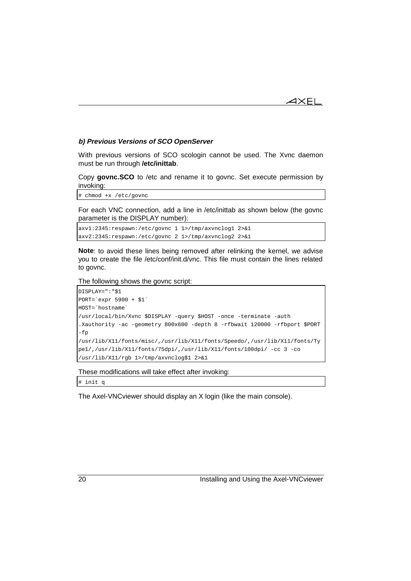### **b) Previous Versions of SCO OpenServer**

With previous versions of SCO scologin cannot be used. The Xvnc daemon must be run through **/etc/inittab**.

Copy **govnc.SCO** to /etc and rename it to govnc. Set execute permission by invoking:

# chmod +x /etc/govnc

For each VNC connection, add a line in /etc/inittab as shown below (the govnc parameter is the DISPLAY number):

```
axv1:2345:respawn:/etc/govnc 1 1>/tmp/axvnclog1 2>&1
axv2:2345:respawn:/etc/govnc 2 1>/tmp/axvnclog2 2>&1
```
**Note**: to avoid these lines being removed after relinking the kernel, we advise you to create the file /etc/conf/init.d/vnc. This file must contain the lines related to govnc.

The following shows the govnc script:

```
DISPLAY=":"$1
PORT=`expr 5900 + $1`
HOST=`hostname`
/usr/local/bin/Xvnc $DISPLAY -query $HOST -once -terminate -auth
.Xauthority -ac -geometry 800x600 -depth 8 -rfbwait 120000 -rfbport $PORT
-fp
/usr/lib/X11/fonts/misc/,/usr/lib/X11/fonts/Speedo/,/usr/lib/X11/fonts/Ty
pe1/,/usr/lib/X11/fonts/75dpi/,/usr/lib/X11/fonts/100dpi/ -cc 3 -co
/usr/lib/X11/rgb 1>/tmp/axvnclog$1 2>&1
```
These modifications will take effect after invoking:

# init q

The Axel-VNCviewer should display an X login (like the main console).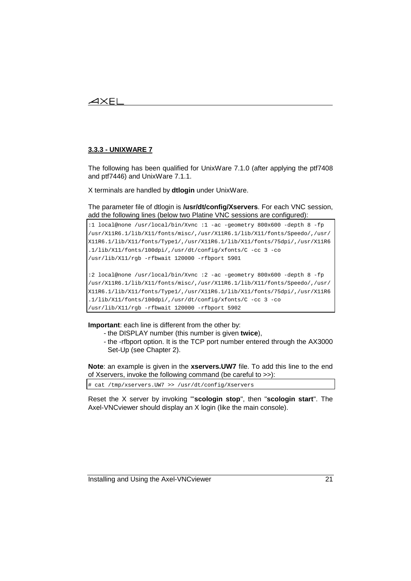## $4\times$ El

## **3.3.3 - UNIXWARE 7**

The following has been qualified for UnixWare 7.1.0 (after applying the ptf7408 and ptf7446) and UnixWare 7.1.1.

X terminals are handled by **dtlogin** under UnixWare.

The parameter file of dtlogin is **/usr/dt/config/Xservers**. For each VNC session, add the following lines (below two Platine VNC sessions are configured):

```
:1 local@none /usr/local/bin/Xvnc :1 -ac -geometry 800x600 -depth 8 -fp
/usr/X11R6.1/lib/X11/fonts/misc/,/usr/X11R6.1/lib/X11/fonts/Speedo/,/usr/
X11R6.1/lib/X11/fonts/Type1/,/usr/X11R6.1/lib/X11/fonts/75dpi/,/usr/X11R6
.1/lib/X11/fonts/100dpi/,/usr/dt/config/xfonts/C -cc 3 -co
/usr/lib/X11/rgb -rfbwait 120000 -rfbport 5901
:2 local@none /usr/local/bin/Xvnc :2 -ac -geometry 800x600 -depth 8 -fp
/usr/X11R6.1/lib/X11/fonts/misc/,/usr/X11R6.1/lib/X11/fonts/Speedo/,/usr/
X11R6.1/lib/X11/fonts/Type1/,/usr/X11R6.1/lib/X11/fonts/75dpi/,/usr/X11R6
.1/lib/X11/fonts/100dpi/,/usr/dt/config/xfonts/C -cc 3 -co
```
/usr/lib/X11/rgb -rfbwait 120000 -rfbport 5902

**Important**: each line is different from the other by:

- the DISPLAY number (this number is given **twice**),
- the -rfbport option. It is the TCP port number entered through the AX3000 Set-Up (see Chapter 2).

**Note**: an example is given in the **xservers.UW7** file. To add this line to the end of Xservers, invoke the following command (be careful to >>):

# cat /tmp/xservers.UW7 >> /usr/dt/config/Xservers

Reset the X server by invoking '"**scologin stop**", then "**scologin start**". The Axel-VNCviewer should display an X login (like the main console).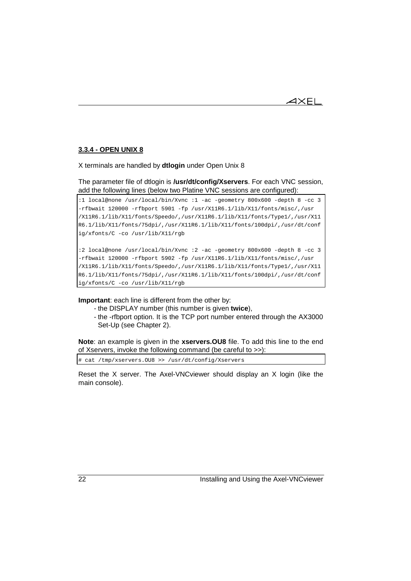1 $\times$ El

## **3.3.4 - OPEN UNIX 8**

X terminals are handled by **dtlogin** under Open Unix 8

The parameter file of dtlogin is **/usr/dt/config/Xservers**. For each VNC session, add the following lines (below two Platine VNC sessions are configured):

```
:1 local@none /usr/local/bin/Xvnc :1 -ac -geometry 800x600 -depth 8 -cc 3
-rfbwait 120000 -rfbport 5901 -fp /usr/X11R6.1/lib/X11/fonts/misc/,/usr
/X11R6.1/lib/X11/fonts/Speedo/,/usr/X11R6.1/lib/X11/fonts/Type1/,/usr/X11
R6.1/lib/X11/fonts/75dpi/,/usr/X11R6.1/lib/X11/fonts/100dpi/,/usr/dt/conf
ig/xfonts/C -co /usr/lib/X11/rgb
```

```
:2 local@none /usr/local/bin/Xvnc :2 -ac -geometry 800x600 -depth 8 -cc 3
-rfbwait 120000 -rfbport 5902 -fp /usr/X11R6.1/lib/X11/fonts/misc/,/usr
/X11R6.1/lib/X11/fonts/Speedo/,/usr/X11R6.1/lib/X11/fonts/Type1/,/usr/X11
R6.1/lib/X11/fonts/75dpi/,/usr/X11R6.1/lib/X11/fonts/100dpi/,/usr/dt/conf
ig/xfonts/C -co /usr/lib/X11/rgb
```
**Important**: each line is different from the other by:

- the DISPLAY number (this number is given **twice**),
- the -rfbport option. It is the TCP port number entered through the AX3000 Set-Up (see Chapter 2).

**Note**: an example is given in the **xservers.OU8** file. To add this line to the end of Xservers, invoke the following command (be careful to >>):

# cat /tmp/xservers.OU8 >> /usr/dt/config/Xservers

Reset the X server. The Axel-VNCviewer should display an X login (like the main console).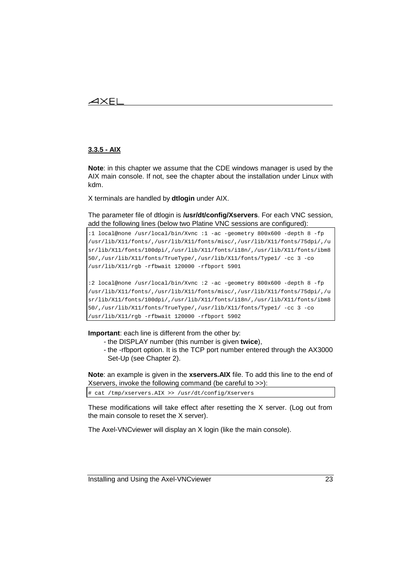## $4\times$ El

### **3.3.5 - AIX**

**Note**: in this chapter we assume that the CDE windows manager is used by the AIX main console. If not, see the chapter about the installation under Linux with kdm.

X terminals are handled by **dtlogin** under AIX.

The parameter file of dtlogin is **/usr/dt/config/Xservers**. For each VNC session, add the following lines (below two Platine VNC sessions are configured):

```
:1 local@none /usr/local/bin/Xvnc :1 -ac -geometry 800x600 -depth 8 -fp
/usr/lib/X11/fonts/,/usr/lib/X11/fonts/misc/,/usr/lib/X11/fonts/75dpi/,/u
sr/lib/X11/fonts/100dpi/,/usr/lib/X11/fonts/i18n/,/usr/lib/X11/fonts/ibm8
50/,/usr/lib/X11/fonts/TrueType/,/usr/lib/X11/fonts/Type1/ -cc 3 -co
/usr/lib/X11/rgb -rfbwait 120000 -rfbport 5901
:2 local@none /usr/local/bin/Xvnc :2 -ac -geometry 800x600 -depth 8 -fp
/usr/lib/X11/fonts/,/usr/lib/X11/fonts/misc/,/usr/lib/X11/fonts/75dpi/,/u
sr/lib/X11/fonts/100dpi/,/usr/lib/X11/fonts/i18n/,/usr/lib/X11/fonts/ibm8
50/,/usr/lib/X11/fonts/TrueType/,/usr/lib/X11/fonts/Type1/ -cc 3 -co
/usr/lib/X11/rgb -rfbwait 120000 -rfbport 5902
```
**Important**: each line is different from the other by:

- the DISPLAY number (this number is given **twice**),
- the -rfbport option. It is the TCP port number entered through the AX3000 Set-Up (see Chapter 2).

**Note**: an example is given in the **xservers.AIX** file. To add this line to the end of Xservers, invoke the following command (be careful to >>):

# cat /tmp/xservers.AIX >> /usr/dt/config/Xservers

These modifications will take effect after resetting the X server. (Log out from the main console to reset the X server).

The Axel-VNCviewer will display an X login (like the main console).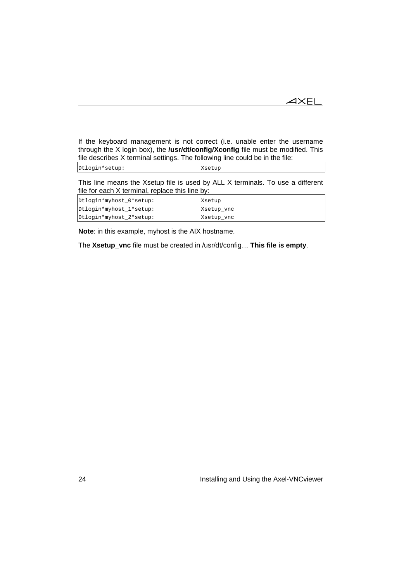$\blacktriangleleft\times$ EL

If the keyboard management is not correct (i.e. unable enter the username through the X login box), the **/usr/dt/config/Xconfig** file must be modified. This file describes X terminal settings. The following line could be in the file:

Dtlogin\*setup: Xsetup

This line means the Xsetup file is used by ALL X terminals. To use a different file for each X terminal, replace this line by:

| Dtlogin*myhost_0*setup: | Xsetup     |
|-------------------------|------------|
| Dtlogin*myhost_1*setup: | Xsetup_vnc |
| Dtlogin*myhost_2*setup: | Xsetup_vnc |

**Note**: in this example, myhost is the AIX hostname.

The **Xsetup\_vnc** file must be created in /usr/dt/config… **This file is empty**.

24 Installing and Using the Axel-VNCviewer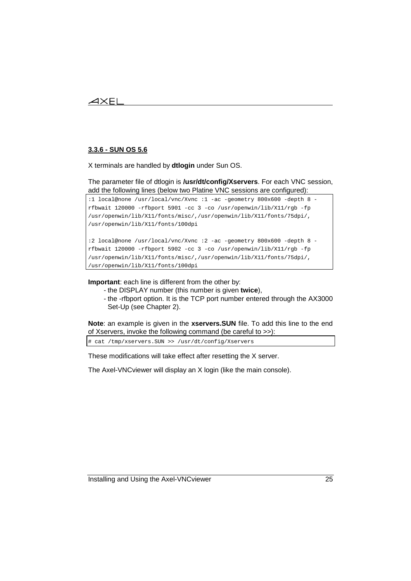## $\boldsymbol{\mathsf{4}\mathsf{X}\mathsf{El}}$

## **3.3.6 - SUN OS 5.6**

X terminals are handled by **dtlogin** under Sun OS.

The parameter file of dtlogin is **/usr/dt/config/Xservers**. For each VNC session, add the following lines (below two Platine VNC sessions are configured):

```
:1 local@none /usr/local/vnc/Xvnc :1 -ac -geometry 800x600 -depth 8 -
rfbwait 120000 -rfbport 5901 -cc 3 -co /usr/openwin/lib/X11/rgb -fp
/usr/openwin/lib/X11/fonts/misc/,/usr/openwin/lib/X11/fonts/75dpi/,
/usr/openwin/lib/X11/fonts/100dpi
```

```
:2 local@none /usr/local/vnc/Xvnc :2 -ac -geometry 800x600 -depth 8 -
rfbwait 120000 -rfbport 5902 -cc 3 -co /usr/openwin/lib/X11/rgb -fp
/usr/openwin/lib/X11/fonts/misc/,/usr/openwin/lib/X11/fonts/75dpi/,
/usr/openwin/lib/X11/fonts/100dpi
```
**Important**: each line is different from the other by:

- the DISPLAY number (this number is given **twice**),
- the -rfbport option. It is the TCP port number entered through the AX3000 Set-Up (see Chapter 2).

**Note**: an example is given in the **xservers.SUN** file. To add this line to the end of Xservers, invoke the following command (be careful to >>):

# cat /tmp/xservers.SUN >> /usr/dt/config/Xservers

These modifications will take effect after resetting the X server.

The Axel-VNCviewer will display an X login (like the main console).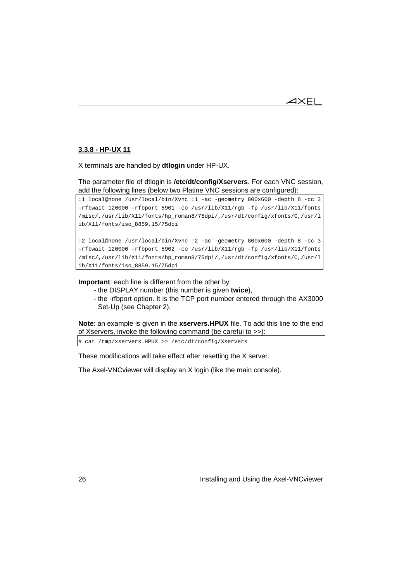

## **3.3.8 - HP-UX 11**

X terminals are handled by **dtlogin** under HP-UX.

The parameter file of dtlogin is **/etc/dt/config/Xservers**. For each VNC session, add the following lines (below two Platine VNC sessions are configured):

:1 local@none /usr/local/bin/Xvnc :1 -ac -geometry 800x600 -depth 8 -cc 3 -rfbwait 120000 -rfbport 5901 -co /usr/lib/X11/rgb -fp /usr/lib/X11/fonts /misc/,/usr/lib/X11/fonts/hp\_roman8/75dpi/,/usr/dt/config/xfonts/C,/usr/l ib/X11/fonts/iso\_8859.15/75dpi

```
:2 local@none /usr/local/bin/Xvnc :2 -ac -geometry 800x600 -depth 8 -cc 3
-rfbwait 120000 -rfbport 5902 -co /usr/lib/X11/rgb -fp /usr/lib/X11/fonts
/misc/,/usr/lib/X11/fonts/hp_roman8/75dpi/,/usr/dt/config/xfonts/C,/usr/l
ib/X11/fonts/iso_8859.15/75dpi
```
**Important**: each line is different from the other by:

- the DISPLAY number (this number is given **twice**),
- the -rfbport option. It is the TCP port number entered through the AX3000 Set-Up (see Chapter 2).

**Note**: an example is given in the **xservers.HPUX** file. To add this line to the end of Xservers, invoke the following command (be careful to >>):

# cat /tmp/xservers.HPUX >> /etc/dt/config/Xservers

These modifications will take effect after resetting the X server.

The Axel-VNCviewer will display an X login (like the main console).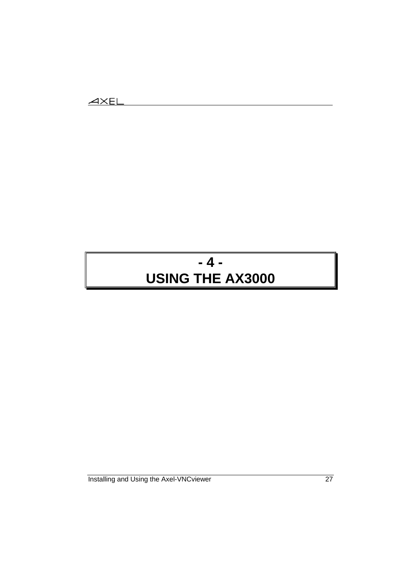# **- 4 - USING THE AX3000**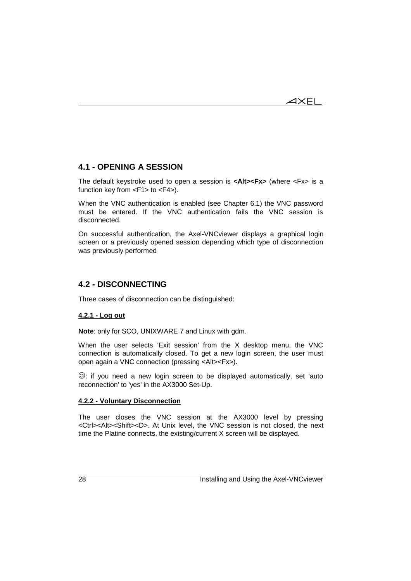$\overline{\mathcal{A}}\times$ EL

# **4.1 - OPENING A SESSION**

The default keystroke used to open a session is **<Alt><Fx>** (where <Fx> is a function key from <F1> to <F4>).

When the VNC authentication is enabled (see Chapter 6.1) the VNC password must be entered. If the VNC authentication fails the VNC session is disconnected.

On successful authentication, the Axel-VNCviewer displays a graphical login screen or a previously opened session depending which type of disconnection was previously performed

## **4.2 - DISCONNECTING**

Three cases of disconnection can be distinguished:

## **4.2.1 - Log out**

**Note**: only for SCO, UNIXWARE 7 and Linux with gdm.

When the user selects 'Exit session' from the X desktop menu, the VNC connection is automatically closed. To get a new login screen, the user must open again a VNC connection (pressing <Alt><Fx>).

 $\odot$ : if you need a new login screen to be displayed automatically, set 'auto reconnection' to 'yes' in the AX3000 Set-Up.

### **4.2.2 - Voluntary Disconnection**

The user closes the VNC session at the AX3000 level by pressing <Ctrl><Alt><Shift><D>. At Unix level, the VNC session is not closed, the next time the Platine connects, the existing/current X screen will be displayed.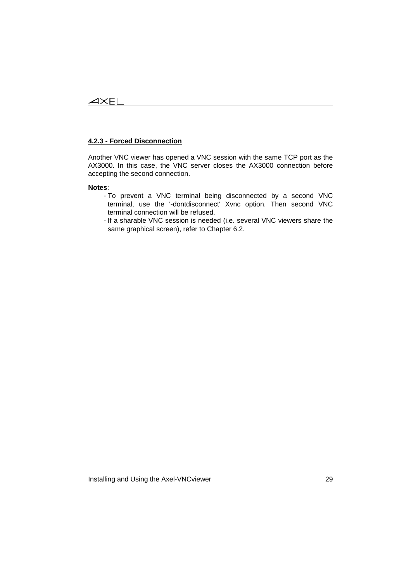## **4.2.3 - Forced Disconnection**

Another VNC viewer has opened a VNC session with the same TCP port as the AX3000. In this case, the VNC server closes the AX3000 connection before accepting the second connection.

### **Notes**:

- To prevent a VNC terminal being disconnected by a second VNC terminal, use the '-dontdisconnect' Xvnc option. Then second VNC terminal connection will be refused.
- If a sharable VNC session is needed (i.e. several VNC viewers share the same graphical screen), refer to Chapter 6.2.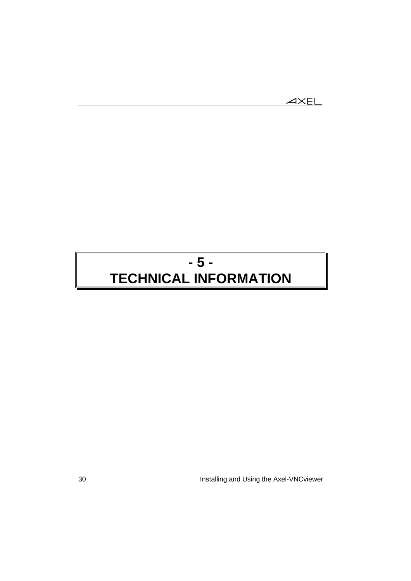$$
\underline{\text{AXEL}}
$$

# **- 5 - TECHNICAL INFORMATION**

30 Installing and Using the Axel-VNCviewer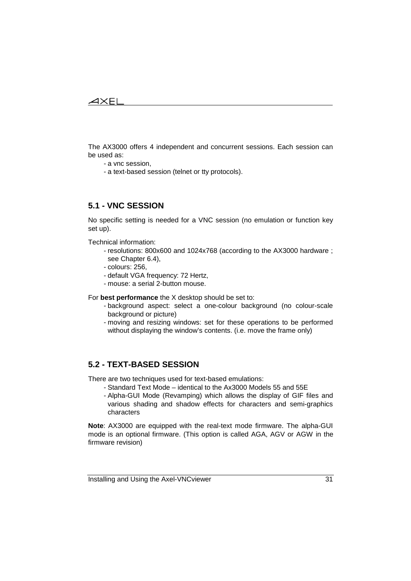## $\angle XEL$

The AX3000 offers 4 independent and concurrent sessions. Each session can be used as:

- a vnc session,

- a text-based session (telnet or tty protocols).

## **5.1 - VNC SESSION**

No specific setting is needed for a VNC session (no emulation or function key set up).

Technical information:

- resolutions: 800x600 and 1024x768 (according to the AX3000 hardware ; see Chapter 6.4),
- colours: 256,
- default VGA frequency: 72 Hertz,
- mouse: a serial 2-button mouse.

For **best performance** the X desktop should be set to:

- background aspect: select a one-colour background (no colour-scale background or picture)
- moving and resizing windows: set for these operations to be performed without displaying the window's contents. (i.e. move the frame only)

## **5.2 - TEXT-BASED SESSION**

There are two techniques used for text-based emulations:

- Standard Text Mode identical to the Ax3000 Models 55 and 55E
- Alpha-GUI Mode (Revamping) which allows the display of GIF files and various shading and shadow effects for characters and semi-graphics characters

**Note**: AX3000 are equipped with the real-text mode firmware. The alpha-GUI mode is an optional firmware. (This option is called AGA, AGV or AGW in the firmware revision)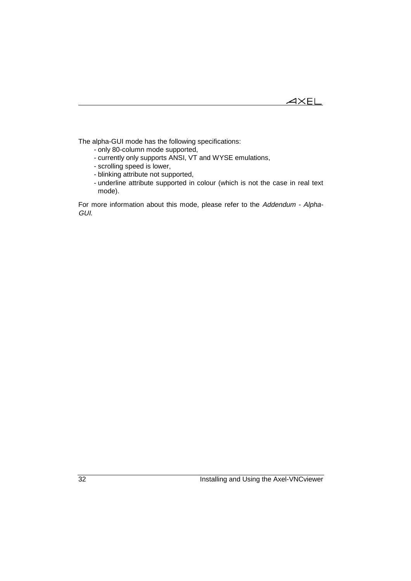The alpha-GUI mode has the following specifications:

- only 80-column mode supported,
- currently only supports ANSI, VT and WYSE emulations,
- scrolling speed is lower,

- blinking attribute not supported,
- underline attribute supported in colour (which is not the case in real text mode).

For more information about this mode, please refer to the Addendum - Alpha-GUI.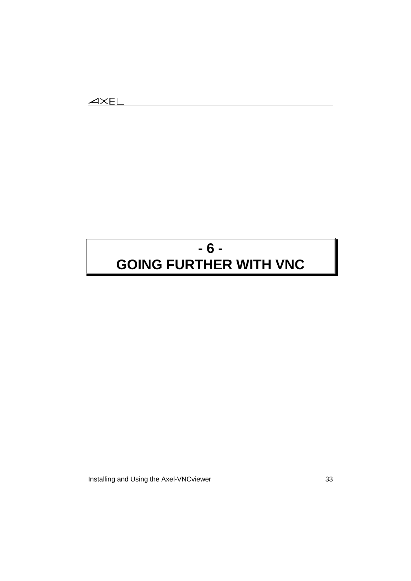# **- 6 - GOING FURTHER WITH VNC**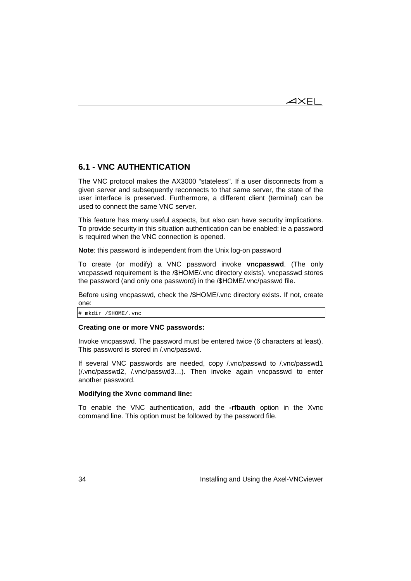$4\times$ el

# **6.1 - VNC AUTHENTICATION**

The VNC protocol makes the AX3000 "stateless". If a user disconnects from a given server and subsequently reconnects to that same server, the state of the user interface is preserved. Furthermore, a different client (terminal) can be used to connect the same VNC server.

This feature has many useful aspects, but also can have security implications. To provide security in this situation authentication can be enabled: ie a password is required when the VNC connection is opened.

**Note**: this password is independent from the Unix log-on password

To create (or modify) a VNC password invoke **vncpasswd**. (The only vncpasswd requirement is the /\$HOME/.vnc directory exists). vncpasswd stores the password (and only one password) in the /\$HOME/.vnc/passwd file.

Before using vncpasswd, check the /\$HOME/.vnc directory exists. If not, create one:

# mkdir /\$HOME/.vnc

### **Creating one or more VNC passwords:**

Invoke vncpasswd. The password must be entered twice (6 characters at least). This password is stored in /.vnc/passwd.

If several VNC passwords are needed, copy /.vnc/passwd to /.vnc/passwd1 (/.vnc/passwd2, /.vnc/passwd3…). Then invoke again vncpasswd to enter another password.

### **Modifying the Xvnc command line:**

To enable the VNC authentication, add the **-rfbauth** option in the Xvnc command line. This option must be followed by the password file.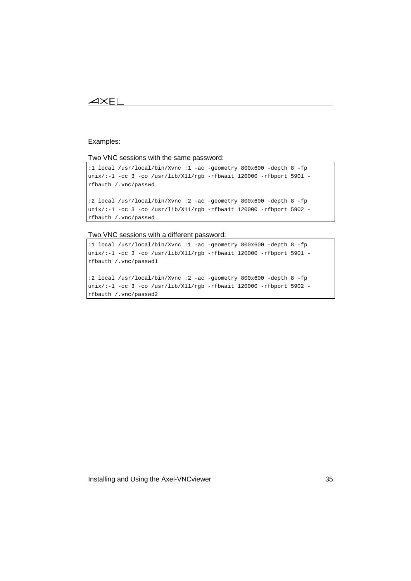## $\overline{\mathcal{A}}$ XEI

#### Examples:

#### Two VNC sessions with the same password:

```
:1 local /usr/local/bin/Xvnc :1 -ac -geometry 800x600 -depth 8 -fp
unix/:-1 -cc 3 -co /usr/lib/X11/rgb -rfbwait 120000 -rfbport 5901 -
rfbauth /.vnc/passwd
```

```
:2 local /usr/local/bin/Xvnc :2 -ac -geometry 800x600 -depth 8 -fp
unix/:-1 -cc 3 -co /usr/lib/X11/rgb -rfbwait 120000 -rfbport 5902 -
rfbauth /.vnc/passwd
```
Two VNC sessions with a different password:

```
:1 local /usr/local/bin/Xvnc :1 -ac -geometry 800x600 -depth 8 -fp
\text{unix} :-1 -cc 3 -co /usr/lib/X11/rgb -rfbwait 120000 -rfbport 5901 -
rfbauth /.vnc/passwd1
:2 local /usr/local/bin/Xvnc :2 -ac -geometry 800x600 -depth 8 -fp
unix/-1 -cc 3 -co /usr/lib/X11/rgb -rfbwait 120000 -rfbport 5902 -
rfbauth /.vnc/passwd2
```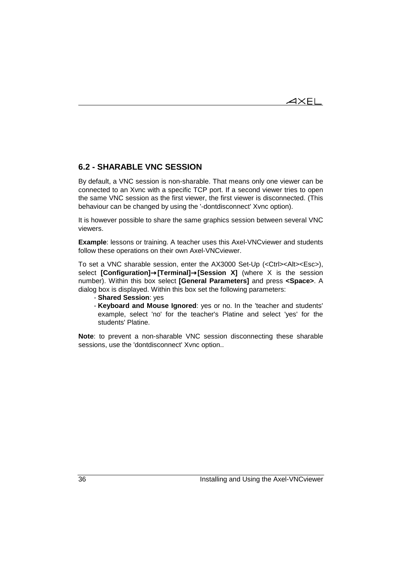## **6.2 - SHARABLE VNC SESSION**

By default, a VNC session is non-sharable. That means only one viewer can be connected to an Xvnc with a specific TCP port. If a second viewer tries to open the same VNC session as the first viewer, the first viewer is disconnected. (This behaviour can be changed by using the '-dontdisconnect' Xvnc option).

It is however possible to share the same graphics session between several VNC viewers.

**Example**: lessons or training. A teacher uses this Axel-VNCviewer and students follow these operations on their own Axel-VNCviewer.

To set a VNC sharable session, enter the AX3000 Set-Up (<Ctrl><Alt><Esc>), select **[Configuration]**→**[Terminal]**→**[Session X]** (where X is the session number). Within this box select **[General Parameters]** and press **<Space>**. A dialog box is displayed. Within this box set the following parameters:

- **Shared Session**: yes
- **Keyboard and Mouse Ignored**: yes or no. In the 'teacher and students' example, select 'no' for the teacher's Platine and select 'yes' for the students' Platine.

**Note**: to prevent a non-sharable VNC session disconnecting these sharable sessions, use the 'dontdisconnect' Xvnc option..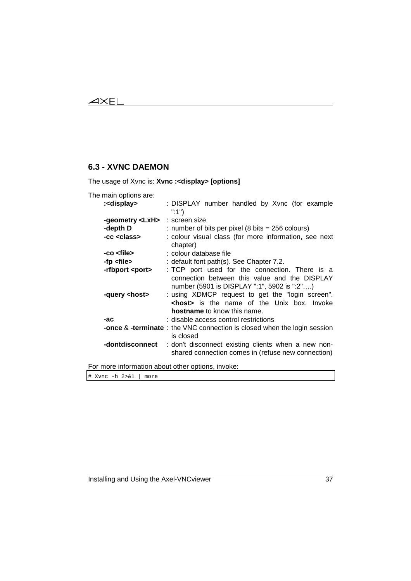## $\overline{\mathcal{A}}$  $\times$ EL

# **6.3 - XVNC DAEMON**

The usage of Xvnc is: **Xvnc :<display> [options]**

| The main options are:  |                                                                                                                                                                                                                                                    |
|------------------------|----------------------------------------------------------------------------------------------------------------------------------------------------------------------------------------------------------------------------------------------------|
| : <display></display>  | : DISPLAY number handled by Xvnc (for example<br>":1")                                                                                                                                                                                             |
| -geometry <lxh></lxh>  | : screen size                                                                                                                                                                                                                                      |
| -depth D               | : number of bits per pixel (8 bits $= 256$ colours)                                                                                                                                                                                                |
| -cc <class></class>    | : colour visual class (for more information, see next<br>chapter)                                                                                                                                                                                  |
| -co <file></file>      | : colour database file                                                                                                                                                                                                                             |
| -fp <file></file>      | : default font path(s). See Chapter 7.2.                                                                                                                                                                                                           |
| -rfbport <port></port> | : TCP port used for the connection. There is a                                                                                                                                                                                                     |
| -query <host></host>   | connection between this value and the DISPLAY<br>number (5901 is DISPLAY ":1", 5902 is ":2")<br>: using XDMCP request to get the "login screen".<br><b><host></host></b> is the name of the Unix box. Invoke<br><b>hostname</b> to know this name. |
| -ac                    | : disable access control restrictions                                                                                                                                                                                                              |
|                        | <b>-once &amp; -terminate</b> : the VNC connection is closed when the login session                                                                                                                                                                |
|                        | is closed                                                                                                                                                                                                                                          |
| -dontdisconnect        | : don't disconnect existing clients when a new non-<br>shared connection comes in (refuse new connection)                                                                                                                                          |

For more information about other options, invoke:

# Xvnc -h 2>&1 | more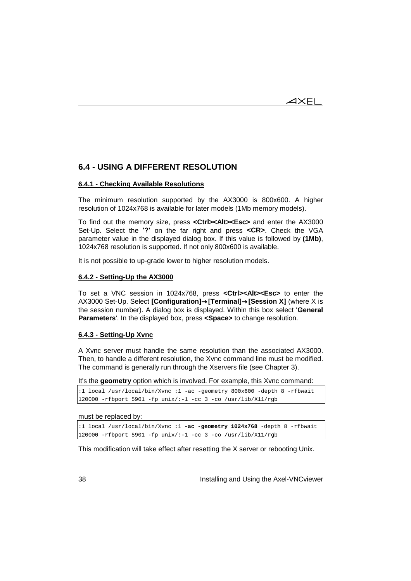$4\times$ EL

## **6.4 - USING A DIFFERENT RESOLUTION**

## **6.4.1 - Checking Available Resolutions**

The minimum resolution supported by the AX3000 is 800x600. A higher resolution of 1024x768 is available for later models (1Mb memory models).

To find out the memory size, press **<Ctrl><Alt><Esc>** and enter the AX3000 Set-Up. Select the **'?'** on the far right and press **<CR>**. Check the VGA parameter value in the displayed dialog box. If this value is followed by **(1Mb)**, 1024x768 resolution is supported. If not only 800x600 is available.

It is not possible to up-grade lower to higher resolution models.

### **6.4.2 - Setting-Up the AX3000**

To set a VNC session in 1024x768, press **<Ctrl><Alt><Esc>** to enter the AX3000 Set-Up. Select **[Configuration]**→**[Terminal]**→**[Session X]** (where X is the session number). A dialog box is displayed. Within this box select '**General Parameters**'. In the displayed box, press **<Space>** to change resolution.

### **6.4.3 - Setting-Up Xvnc**

A Xvnc server must handle the same resolution than the associated AX3000. Then, to handle a different resolution, the Xvnc command line must be modified. The command is generally run through the Xservers file (see Chapter 3).

It's the **geometry** option which is involved. For example, this Xvnc command:

```
:1 local /usr/local/bin/Xvnc :1 -ac -geometry 800x600 -depth 8 -rfbwait
120000 -rfbport 5901 -fp unix/:-1 -cc 3 -co /usr/lib/X11/rgb
```
#### must be replaced by:

:1 local /usr/local/bin/Xvnc :1 **-ac -geometry 1024x768** -depth 8 -rfbwait 120000 -rfbport 5901 -fp unix/:-1 -cc 3 -co /usr/lib/X11/rgb

This modification will take effect after resetting the X server or rebooting Unix.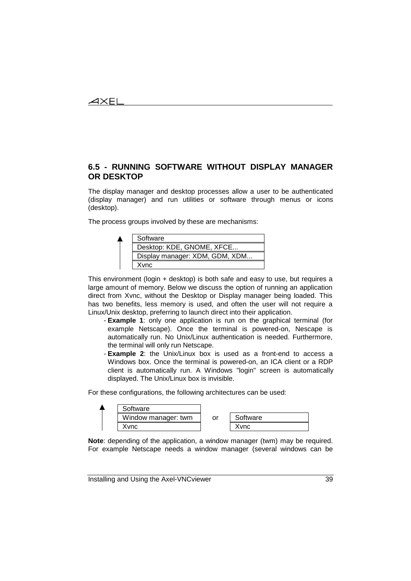# **6.5 - RUNNING SOFTWARE WITHOUT DISPLAY MANAGER OR DESKTOP**

The display manager and desktop processes allow a user to be authenticated (display manager) and run utilities or software through menus or icons (desktop).

The process groups involved by these are mechanisms:



This environment (login + desktop) is both safe and easy to use, but requires a large amount of memory. Below we discuss the option of running an application direct from Xvnc, without the Desktop or Display manager being loaded. This has two benefits, less memory is used, and often the user will not require a Linux/Unix desktop, preferring to launch direct into their application.

- **Example 1**: only one application is run on the graphical terminal (for example Netscape). Once the terminal is powered-on, Nescape is automatically run. No Unix/Linux authentication is needed. Furthermore, the terminal will only run Netscape.
- **Example 2**: the Unix/Linux box is used as a front-end to access a Windows box. Once the terminal is powered-on, an ICA client or a RDP client is automatically run. A Windows "login" screen is automatically displayed. The Unix/Linux box is invisible.

For these configurations, the following architectures can be used:



**Note**: depending of the application, a window manager (twm) may be required. For example Netscape needs a window manager (several windows can be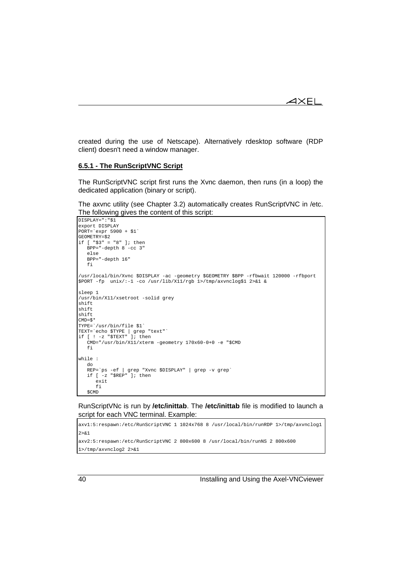created during the use of Netscape). Alternatively rdesktop software (RDP client) doesn't need a window manager.

### **6.5.1 - The RunScriptVNC Script**

The RunScriptVNC script first runs the Xvnc daemon, then runs (in a loop) the dedicated application (binary or script).

The axvnc utility (see Chapter 3.2) automatically creates RunScriptVNC in /etc. The following gives the content of this script:

```
DISPLAY=":"$1
export DISPLAY
PORT=`expr 5900 + $1`
GEOMETRY=$2
if [ "$3" = "8" ]; then
  BPP=" -depth 8 -cc 3" else
   BPP="-depth 16"
   fi
/usr/local/bin/Xvnc $DISPLAY -ac -geometry $GEOMETRY $BPP -rfbwait 120000 -rfbport
$PORT -fp unix/:-1 -co /usr/lib/X11/rgb 1>/tmp/axvnclog$1 2>&1 &
sleep 1
/usr/bin/X11/xsetroot -solid grey
shift
shift
shift
CMD = S*
TYPE=`/usr/bin/file $1`
TEXT=`echo $TYPE | grep "text"`
if [ ! -z "$TEXT" ]; then
   CMD="/usr/bin/X11/xterm -geometry 170x60-0+0 -e "$CMD
    fi
while :
    do
 REP=`ps -ef | grep "Xvnc $DISPLAY" | grep -v grep`
 if [ -z "$REP" ]; then
      exit
       fi
    $CMD
```
RunScriptVNc is run by **/etc/inittab**. The **/etc/inittab** file is modified to launch a script for each VNC terminal. Example:

```
axv1:5:respawn:/etc/RunScriptVNC 1 1024x768 8 /usr/local/bin/runRDP 1>/tmp/axvnclog1
2 > 21axv2:5:respawn:/etc/RunScriptVNC 2 800x600 8 /usr/local/bin/runNS 2 800x600
1>/tmp/axvnclog2 2>&1
```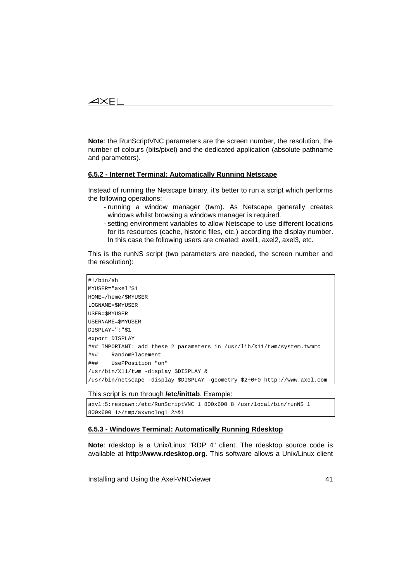## $\boldsymbol{\mathcal{A}}\times \mathsf{EL}$

**Note**: the RunScriptVNC parameters are the screen number, the resolution, the number of colours (bits/pixel) and the dedicated application (absolute pathname and parameters).

### **6.5.2 - Internet Terminal: Automatically Running Netscape**

Instead of running the Netscape binary, it's better to run a script which performs the following operations:

- running a window manager (twm). As Netscape generally creates windows whilst browsing a windows manager is required.
- setting environment variables to allow Netscape to use different locations for its resources (cache, historic files, etc.) according the display number. In this case the following users are created: axel1, axel2, axel3, etc.

This is the runNS script (two parameters are needed, the screen number and the resolution):

| $\sharp$ !/bin/sh                                                           |
|-----------------------------------------------------------------------------|
| MYUSER="axel"\$1                                                            |
| HOME=/home/\$MYUSER                                                         |
| LOGNAME=SMYUSER                                                             |
| USER=\$MYUSER                                                               |
| USERNAME=\$MYUSER                                                           |
| $DISPLAY = " " $1$                                                          |
| export DISPLAY                                                              |
| ### IMPORTANT: add these 2 parameters in /usr/lib/X11/twm/system.twmrc      |
| ###<br>RandomPlacement                                                      |
| ###<br>"UsePPosition "on                                                    |
| /usr/bin/X11/twm -display \$DISPLAY &                                       |
| //usr/bin/netscape -display \$DISPLAY -qeometry \$2+0+0 http://www.axel.com |

#### This script is run through **/etc/inittab**. Example:

axv1:5:respawn:/etc/RunScriptVNC 1 800x600 8 /usr/local/bin/runNS 1 800x600 1>/tmp/axvnclog1 2>&1

### **6.5.3 - Windows Terminal: Automatically Running Rdesktop**

**Note**: rdesktop is a Unix/Linux "RDP 4" client. The rdesktop source code is available at **http://www.rdesktop.org**. This software allows a Unix/Linux client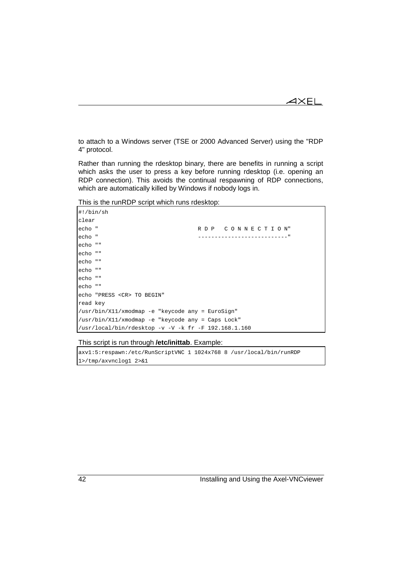$\blacktriangleleft\times$ EL

to attach to a Windows server (TSE or 2000 Advanced Server) using the "RDP 4" protocol.

Rather than running the rdesktop binary, there are benefits in running a script which asks the user to press a key before running rdesktop (i.e. opening an RDP connection). This avoids the continual respawning of RDP connections, which are automatically killed by Windows if nobody logs in.

This is the runRDP script which runs rdesktop:

| $\sharp$ !/bin/sh                                                         |                 |  |  |
|---------------------------------------------------------------------------|-----------------|--|--|
| clear                                                                     |                 |  |  |
| echo "                                                                    | RDP CONNECTION" |  |  |
| echo "                                                                    |                 |  |  |
| echo ""                                                                   |                 |  |  |
| echo ""                                                                   |                 |  |  |
| echo ""                                                                   |                 |  |  |
| echo ""                                                                   |                 |  |  |
| echo ""                                                                   |                 |  |  |
| echo ""                                                                   |                 |  |  |
| echo "PRESS <cr> TO BEGIN"</cr>                                           |                 |  |  |
| read key                                                                  |                 |  |  |
| /usr/bin/X11/xmodmap -e "keycode any = EuroSign"                          |                 |  |  |
| /usr/bin/X11/xmodmap -e "keycode any = Caps Lock"                         |                 |  |  |
| $\frac{1}{\sqrt{2}}$ /usr/local/bin/rdesktop -v -V -k fr -F 192.168.1.160 |                 |  |  |

### This script is run through **/etc/inittab**. Example:

axv1:5:respawn:/etc/RunScriptVNC 1 1024x768 8 /usr/local/bin/runRDP 1>/tmp/axvnclog1 2>&1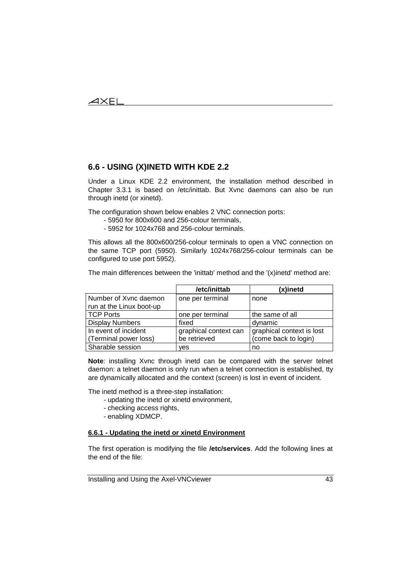## **6.6 - USING (X)INETD WITH KDE 2.2**

Under a Linux KDE 2.2 environment, the installation method described in Chapter 3.3.1 is based on /etc/inittab. But Xvnc daemons can also be run through inetd (or xinetd).

The configuration shown below enables 2 VNC connection ports:

- 5950 for 800x600 and 256-colour terminals,
- 5952 for 1024x768 and 256-colour terminals.

This allows all the 800x600/256-colour terminals to open a VNC connection on the same TCP port (5950). Similarly 1024x768/256-colour terminals can be configured to use port 5952).

The main differences between the 'inittab' method and the '(x)inetd' method are:

|                          | /etc/inittab          | (x)inetd                  |
|--------------------------|-----------------------|---------------------------|
| Number of Xvnc daemon    | one per terminal      | none                      |
| run at the Linux boot-up |                       |                           |
| <b>TCP Ports</b>         | one per terminal      | the same of all           |
| <b>Display Numbers</b>   | fixed                 | dynamic                   |
| In event of incident     | graphical context can | graphical context is lost |
| (Terminal power loss)    | be retrieved          | (come back to login)      |
| Sharable session         | ves                   | no                        |

**Note**: installing Xvnc through inetd can be compared with the server telnet daemon: a telnet daemon is only run when a telnet connection is established, tty are dynamically allocated and the context (screen) is lost in event of incident.

The inetd method is a three-step installation:

- updating the inetd or xinetd environment,
- checking access rights,
- enabling XDMCP.

### **6.6.1 - Updating the inetd or xinetd Environment**

The first operation is modifying the file **/etc/services**. Add the following lines at the end of the file: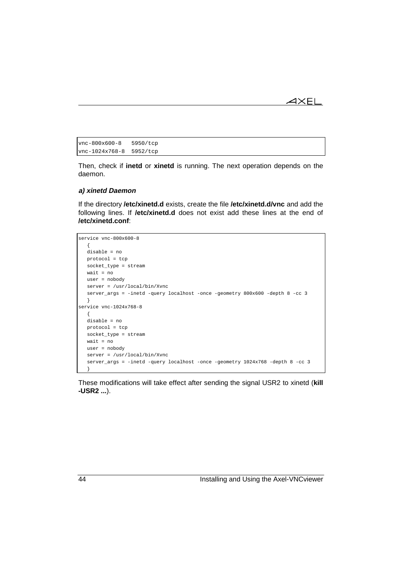```
\blacktriangleleft\times EL
```

```
vnc-800x600-8 5950/tcp
vnc-1024x768-8 5952/tcp
```
Then, check if **inetd** or **xinetd** is running. The next operation depends on the daemon.

### **a) xinetd Daemon**

If the directory **/etc/xinetd.d** exists, create the file **/etc/xinetd.d/vnc** and add the following lines. If **/etc/xinetd.d** does not exist add these lines at the end of **/etc/xinetd.conf**:

```
service vnc-800x600-8
   {
   disable = no
   protocol = tcp
   socket_type = stream
   wait = no
   user = nobody
   server = /usr/local/bin/Xvnc
   server_args = -inetd -query localhost -once -geometry 800x600 -depth 8 -cc 3
   }
service vnc-1024x768-8
   {
   disable = no
   protocol = tcp
   socket_type = stream
   wait = no
   user = nobody
   server = /usr/local/bin/Xvnc
   server_args = -inetd -query localhost -once -geometry 1024x768 -depth 8 -cc 3
   }
```
These modifications will take effect after sending the signal USR2 to xinetd (**kill -USR2 ...**).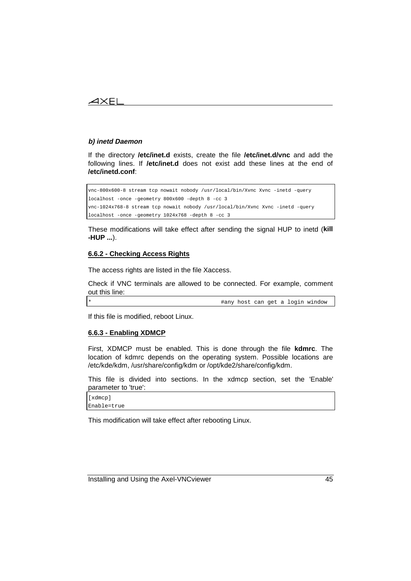## $\boldsymbol{\mathcal{A}}\times \mathsf{EL}$

### **b) inetd Daemon**

If the directory **/etc/inet.d** exists, create the file **/etc/inet.d/vnc** and add the following lines. If **/etc/inet.d** does not exist add these lines at the end of **/etc/inetd.conf**:

vnc-800x600-8 stream tcp nowait nobody /usr/local/bin/Xvnc Xvnc -inetd -query localhost -once -geometry 800x600 -depth 8 -cc 3 vnc-1024x768-8 stream tcp nowait nobody /usr/local/bin/Xvnc Xvnc -inetd -query localhost -once -geometry 1024x768 -depth 8 -cc 3

These modifications will take effect after sending the signal HUP to inetd (**kill -HUP ...**).

## **6.6.2 - Checking Access Rights**

The access rights are listed in the file Xaccess.

Check if VNC terminals are allowed to be connected. For example, comment out this line:

\* #any host can get a login window

If this file is modified, reboot Linux.

#### **6.6.3 - Enabling XDMCP**

First, XDMCP must be enabled. This is done through the file **kdmrc**. The location of kdmrc depends on the operating system. Possible locations are /etc/kde/kdm, /usr/share/config/kdm or /opt/kde2/share/config/kdm.

This file is divided into sections. In the xdmcp section, set the 'Enable' parameter to 'true':

[xdmcp] Enable=true

This modification will take effect after rebooting Linux.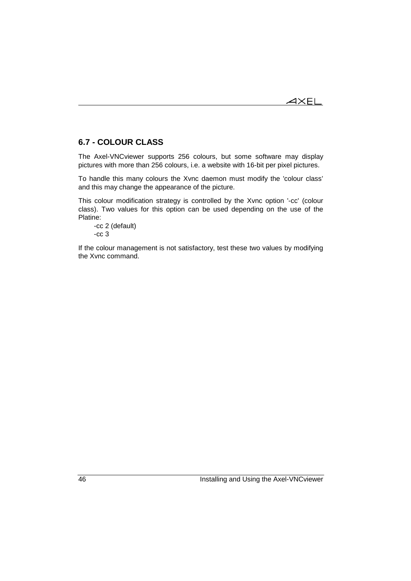## **6.7 - COLOUR CLASS**

The Axel-VNCviewer supports 256 colours, but some software may display pictures with more than 256 colours, i.e. a website with 16-bit per pixel pictures.

To handle this many colours the Xvnc daemon must modify the 'colour class' and this may change the appearance of the picture.

This colour modification strategy is controlled by the Xvnc option '-cc' (colour class). Two values for this option can be used depending on the use of the Platine:

-cc 2 (default) -cc 3

If the colour management is not satisfactory, test these two values by modifying the Xvnc command.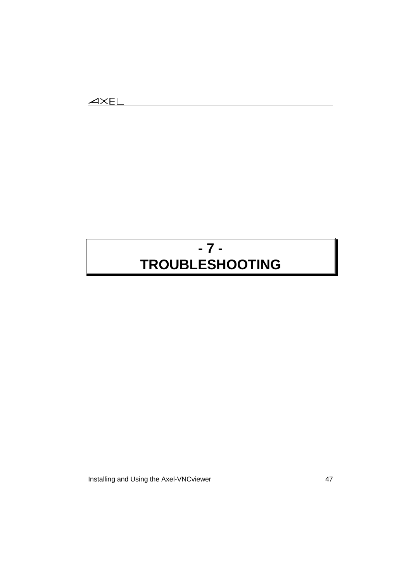# **- 7 - TROUBLESHOOTING**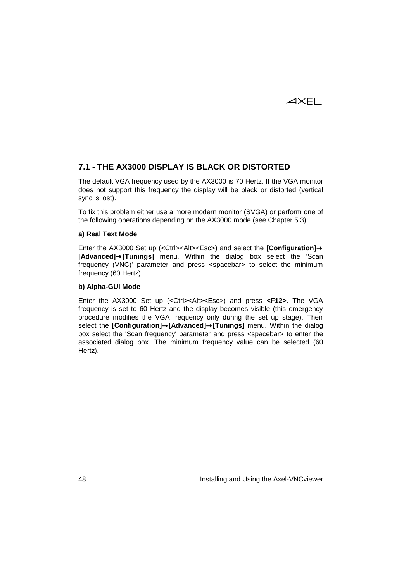## **7.1 - THE AX3000 DISPLAY IS BLACK OR DISTORTED**

The default VGA frequency used by the AX3000 is 70 Hertz. If the VGA monitor does not support this frequency the display will be black or distorted (vertical sync is lost).

To fix this problem either use a more modern monitor (SVGA) or perform one of the following operations depending on the AX3000 mode (see Chapter 5.3):

### **a) Real Text Mode**

Enter the AX3000 Set up (<Ctrl><Alt><Esc>) and select the **[Configuration]**→ **[Advanced]**→**[Tunings]** menu. Within the dialog box select the 'Scan frequency (VNC)' parameter and press <spacebar> to select the minimum frequency (60 Hertz).

### **b) Alpha-GUI Mode**

Enter the AX3000 Set up (<Ctrl><Alt><Esc>) and press **<F12>**. The VGA frequency is set to 60 Hertz and the display becomes visible (this emergency procedure modifies the VGA frequency only during the set up stage). Then select the **[Configuration]**→**[Advanced]**→**[Tunings]** menu. Within the dialog box select the 'Scan frequency' parameter and press <spacebar> to enter the associated dialog box. The minimum frequency value can be selected (60 Hertz).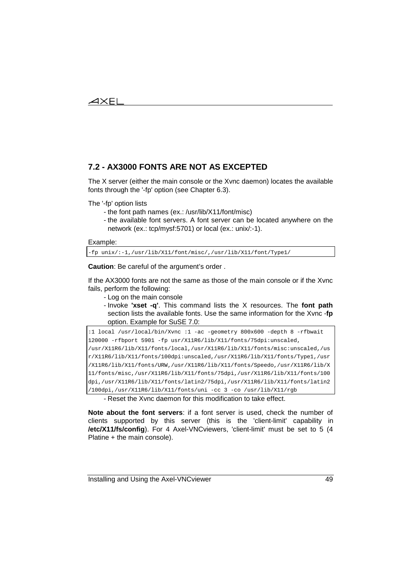## **7.2 - AX3000 FONTS ARE NOT AS EXCEPTED**

The X server (either the main console or the Xvnc daemon) locates the available fonts through the '-fp' option (see Chapter 6.3).

The '-fp' option lists

- the font path names (ex.: /usr/lib/X11/font/misc)
- the available font servers. A font server can be located anywhere on the network (ex.: tcp/mysf:5701) or local (ex.: unix/:-1).

```
Example:
```
-fp unix/:-1,/usr/lib/X11/font/misc/,/usr/lib/X11/font/Type1/

**Caution**: Be careful of the argument's order .

If the AX3000 fonts are not the same as those of the main console or if the Xvnc fails, perform the following:

- Log on the main console
- Invoke **'xset -q'**. This command lists the X resources. The **font path** section lists the available fonts. Use the same information for the Xvnc -**fp** option. Example for SuSE 7.0:

```
:1 local /usr/local/bin/Xvnc :1 -ac -geometry 800x600 -depth 8 -rfbwait
120000 -rfbport 5901 -fp usr/X11R6/lib/X11/fonts/75dpi:unscaled,
/usr/X11R6/lib/X11/fonts/local,/usr/X11R6/lib/X11/fonts/misc:unscaled,/us
r/X11R6/lib/X11/fonts/100dpi:unscaled,/usr/X11R6/lib/X11/fonts/Type1,/usr
/X11R6/lib/X11/fonts/URW,/usr/X11R6/lib/X11/fonts/Speedo,/usr/X11R6/lib/X
11/fonts/misc,/usr/X11R6/lib/X11/fonts/75dpi,/usr/X11R6/lib/X11/fonts/100
dpi,/usr/X11R6/lib/X11/fonts/latin2/75dpi,/usr/X11R6/lib/X11/fonts/latin2
/100dpi,/usr/X11R6/lib/X11/fonts/uni -cc 3 -co /usr/lib/X11/rgb
```
- Reset the Xvnc daemon for this modification to take effect.

**Note about the font servers**: if a font server is used, check the number of clients supported by this server (this is the 'client-limit' capability in **/etc/X11/fs/config**). For 4 Axel-VNCviewers, 'client-limit' must be set to 5 (4 Platine + the main console).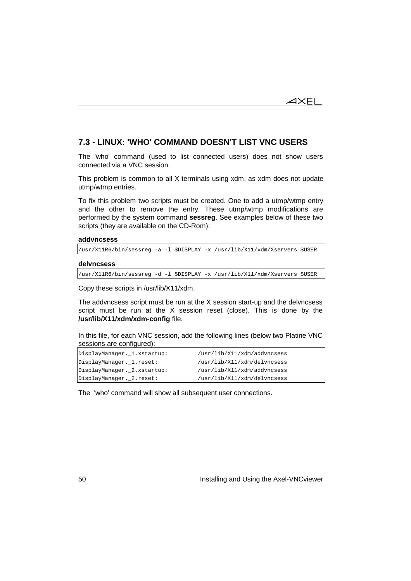$\overline{\mathsf{4}\mathsf{XEL}}$ 

## **7.3 - LINUX: 'WHO' COMMAND DOESN'T LIST VNC USERS**

The 'who' command (used to list connected users) does not show users connected via a VNC session.

This problem is common to all X terminals using xdm, as xdm does not update utmp/wtmp entries.

To fix this problem two scripts must be created. One to add a utmp/wtmp entry and the other to remove the entry. These utmp/wtmp modifications are performed by the system command **sessreg**. See examples below of these two scripts (they are available on the CD-Rom):

#### **addvncsess**

/usr/X11R6/bin/sessreg -a -l \$DISPLAY -x /usr/lib/X11/xdm/Xservers \$USER

#### **delvncsess**

/usr/X11R6/bin/sessreg -d -l \$DISPLAY -x /usr/lib/X11/xdm/Xservers \$USER

Copy these scripts in /usr/lib/X11/xdm.

The addvncsess script must be run at the X session start-up and the delvncsess script must be run at the X session reset (close). This is done by the **/usr/lib/X11/xdm/xdm-config** file.

In this file, for each VNC session, add the following lines (below two Platine VNC sessions are configured):

| DisplayManager._1.xstartup: | /usr/lib/X11/xdm/addvncsess |
|-----------------------------|-----------------------------|
| DisplayManager._1.reset:    | /usr/lib/X11/xdm/delvncsess |
| DisplayManager._2.xstartup: | /usr/lib/X11/xdm/addvncsess |
| DisplayManager._2.reset:    | /usr/lib/X11/xdm/delvncsess |

The 'who' command will show all subsequent user connections.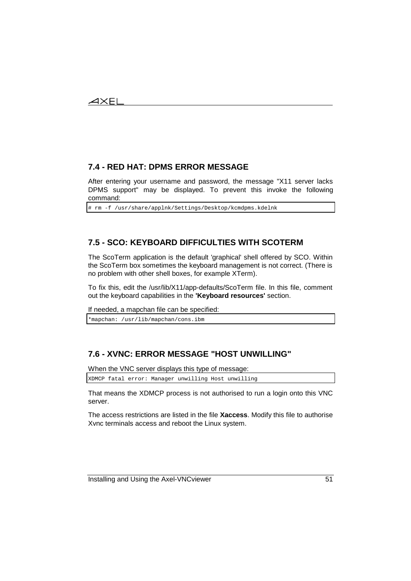# **7.4 - RED HAT: DPMS ERROR MESSAGE**

After entering your username and password, the message "X11 server lacks DPMS support" may be displayed. To prevent this invoke the following command:

# rm -f /usr/share/applnk/Settings/Desktop/kcmdpms.kdelnk

## **7.5 - SCO: KEYBOARD DIFFICULTIES WITH SCOTERM**

The ScoTerm application is the default 'graphical' shell offered by SCO. Within the ScoTerm box sometimes the keyboard management is not correct. (There is no problem with other shell boxes, for example XTerm).

To fix this, edit the /usr/lib/X11/app-defaults/ScoTerm file. In this file, comment out the keyboard capabilities in the **'Keyboard resources'** section.

If needed, a mapchan file can be specified:

\*mapchan: /usr/lib/mapchan/cons.ibm

# **7.6 - XVNC: ERROR MESSAGE "HOST UNWILLING"**

When the VNC server displays this type of message:

XDMCP fatal error: Manager unwilling Host unwilling

That means the XDMCP process is not authorised to run a login onto this VNC server.

The access restrictions are listed in the file **Xaccess**. Modify this file to authorise Xvnc terminals access and reboot the Linux system.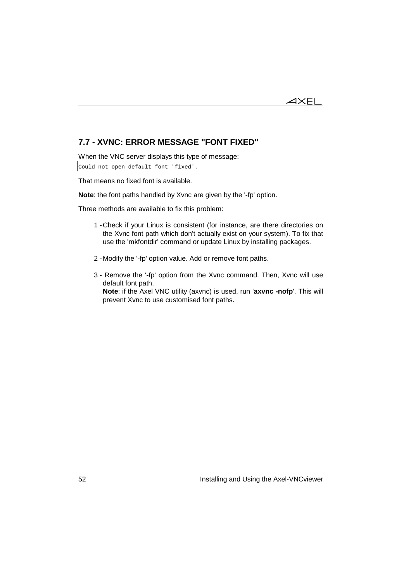

# **7.7 - XVNC: ERROR MESSAGE "FONT FIXED"**

When the VNC server displays this type of message:

Could not open default font 'fixed'.

That means no fixed font is available.

**Note**: the font paths handled by Xvnc are given by the '-fp' option.

Three methods are available to fix this problem:

- 1 -Check if your Linux is consistent (for instance, are there directories on the Xvnc font path which don't actually exist on your system). To fix that use the 'mkfontdir' command or update Linux by installing packages.
- 2 -Modify the '-fp' option value. Add or remove font paths.
- 3 Remove the '-fp' option from the Xvnc command. Then, Xvnc will use default font path.

**Note**: if the Axel VNC utility (axvnc) is used, run '**axvnc -nofp**'. This will prevent Xvnc to use customised font paths.